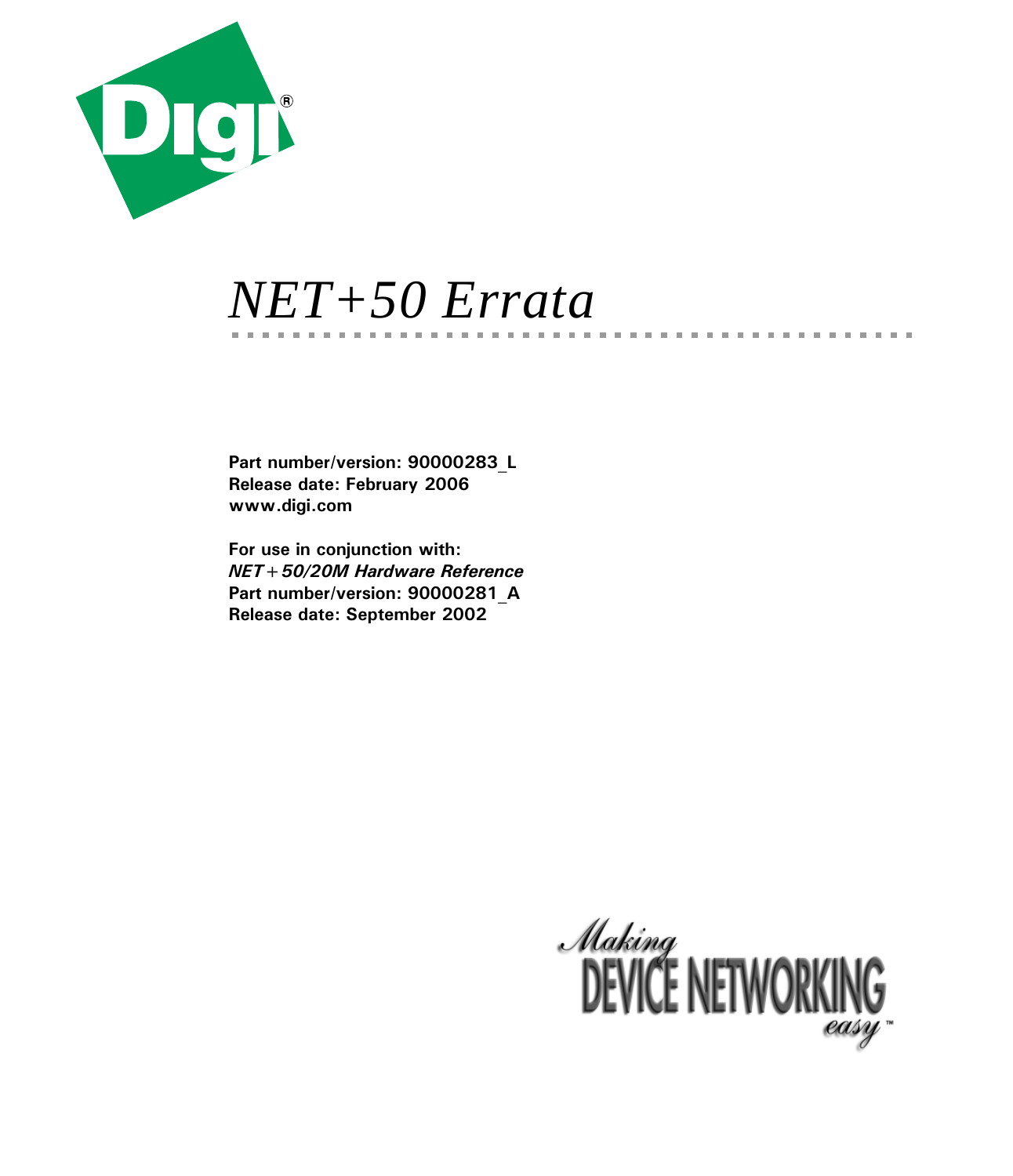

# *NET+50 Errata*

**Part number/version: 90000283\_L Release date: February 2006 www.digi.com**

**For use in conjunction with:** *NET+50/20M Hardware Reference* **Part number/version: 90000281\_A Release date: September 2002**



**COL** m. ш **COL**   $\mathbf{H}$  . If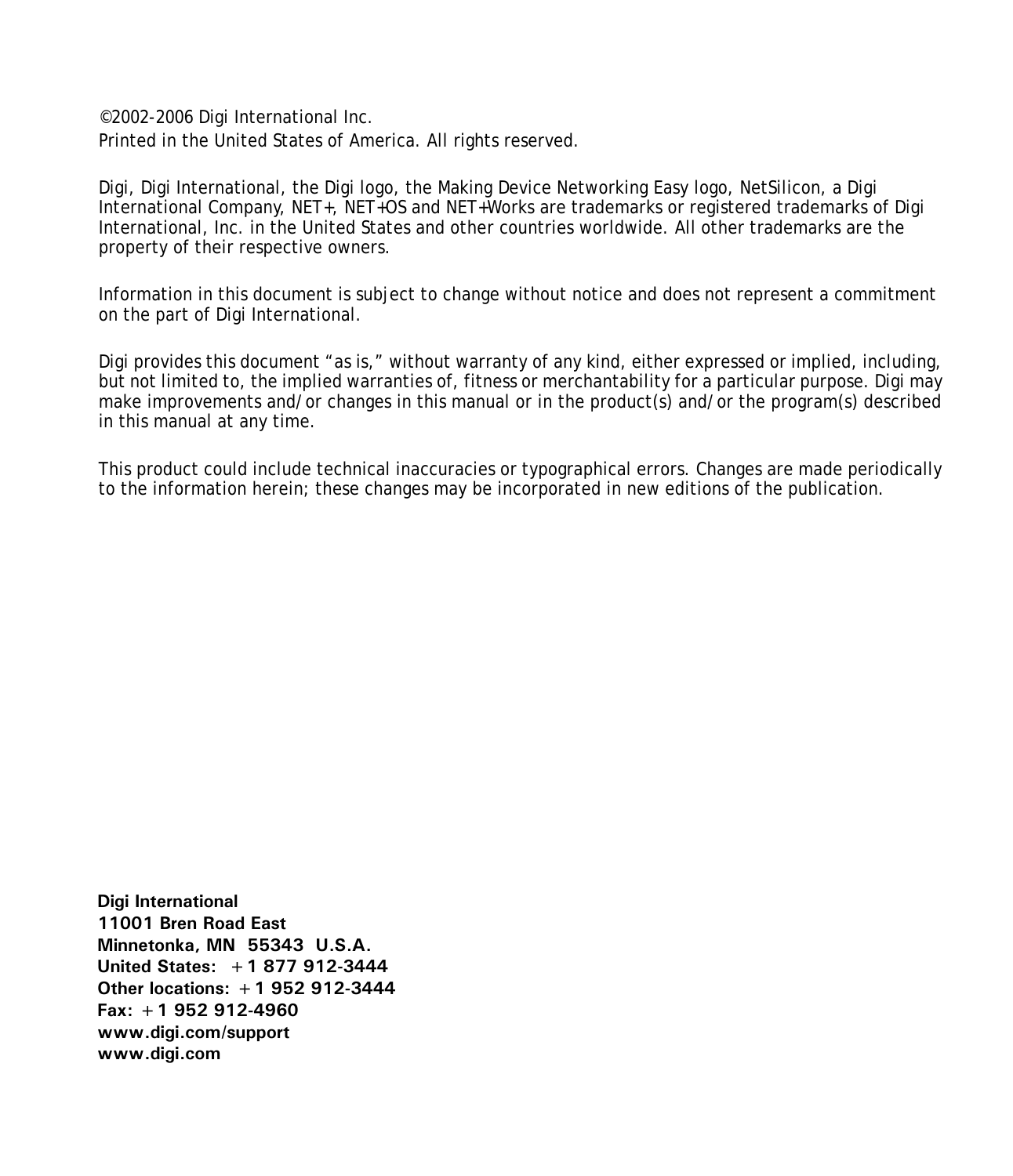©2002-2006 Digi International Inc. Printed in the United States of America. All rights reserved.

Digi, Digi International, the Digi logo, the Making Device Networking Easy logo, NetSilicon, a Digi International Company, NET+, NET+OS and NET+Works are trademarks or registered trademarks of Digi International, Inc. in the United States and other countries worldwide. All other trademarks are the property of their respective owners.

Information in this document is subject to change without notice and does not represent a commitment on the part of Digi International.

Digi provides this document "as is," without warranty of any kind, either expressed or implied, including, but not limited to, the implied warranties of, fitness or merchantability for a particular purpose. Digi may make improvements and/or changes in this manual or in the product(s) and/or the program(s) described in this manual at any time.

This product could include technical inaccuracies or typographical errors. Changes are made periodically to the information herein; these changes may be incorporated in new editions of the publication.

**Digi International 11001 Bren Road East Minnetonka, MN 55343 U.S.A. United States: +1 877 912-3444 Other locations: +1 952 912-3444 Fax: +1 952 912-4960 www.digi.com/support www.digi.com**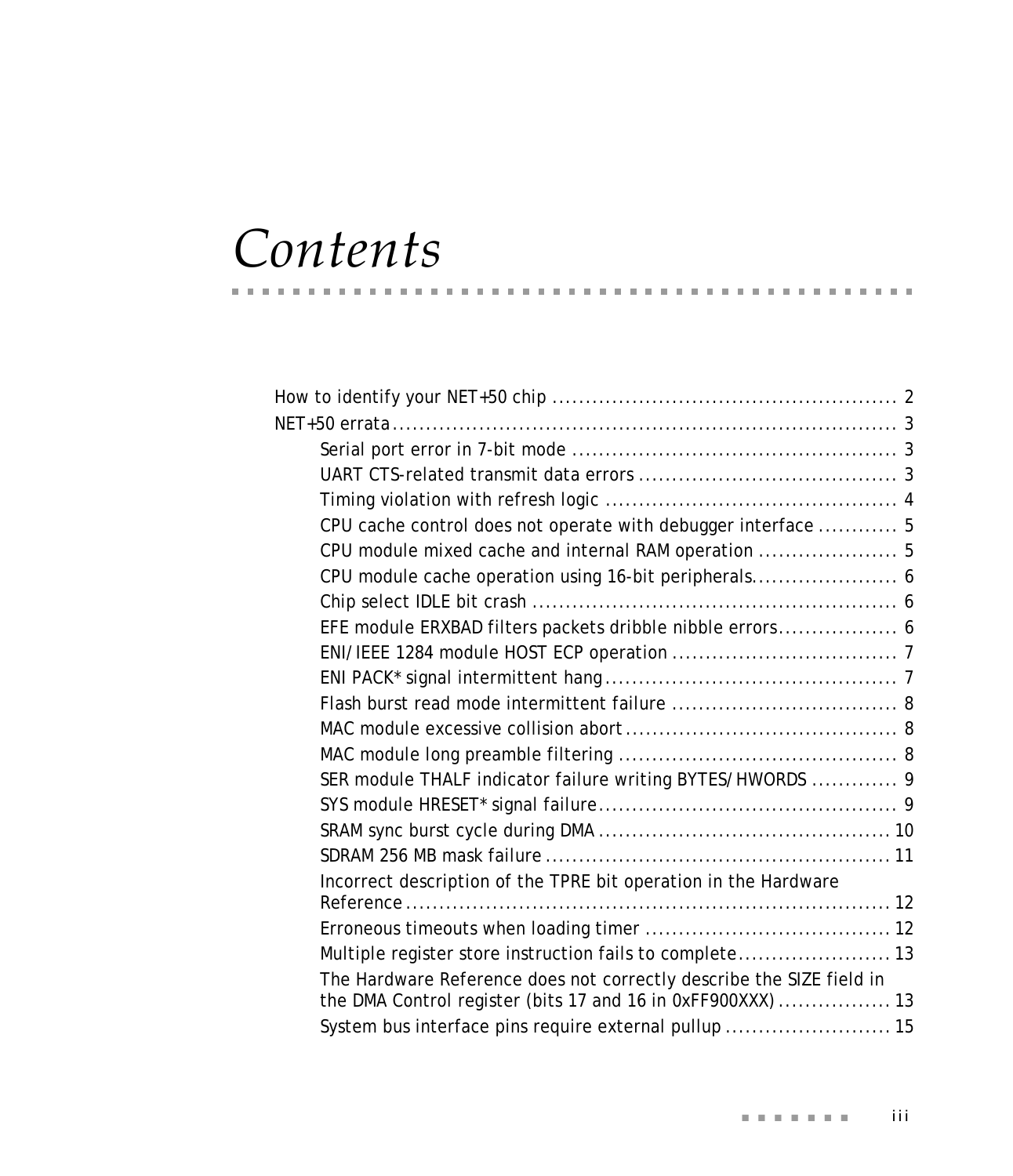# *Contents*

| CPU cache control does not operate with debugger interface  5        |  |
|----------------------------------------------------------------------|--|
| CPU module mixed cache and internal RAM operation  5                 |  |
|                                                                      |  |
|                                                                      |  |
| EFE module ERXBAD filters packets dribble nibble errors 6            |  |
|                                                                      |  |
|                                                                      |  |
|                                                                      |  |
|                                                                      |  |
|                                                                      |  |
| SER module THALF indicator failure writing BYTES/HWORDS  9           |  |
|                                                                      |  |
|                                                                      |  |
|                                                                      |  |
| Incorrect description of the TPRE bit operation in the Hardware      |  |
|                                                                      |  |
|                                                                      |  |
| Multiple register store instruction fails to complete 13             |  |
| The Hardware Reference does not correctly describe the SIZE field in |  |
| the DMA Control register (bits 17 and 16 in 0xFF900XXX)  13          |  |
| System bus interface pins require external pullup  15                |  |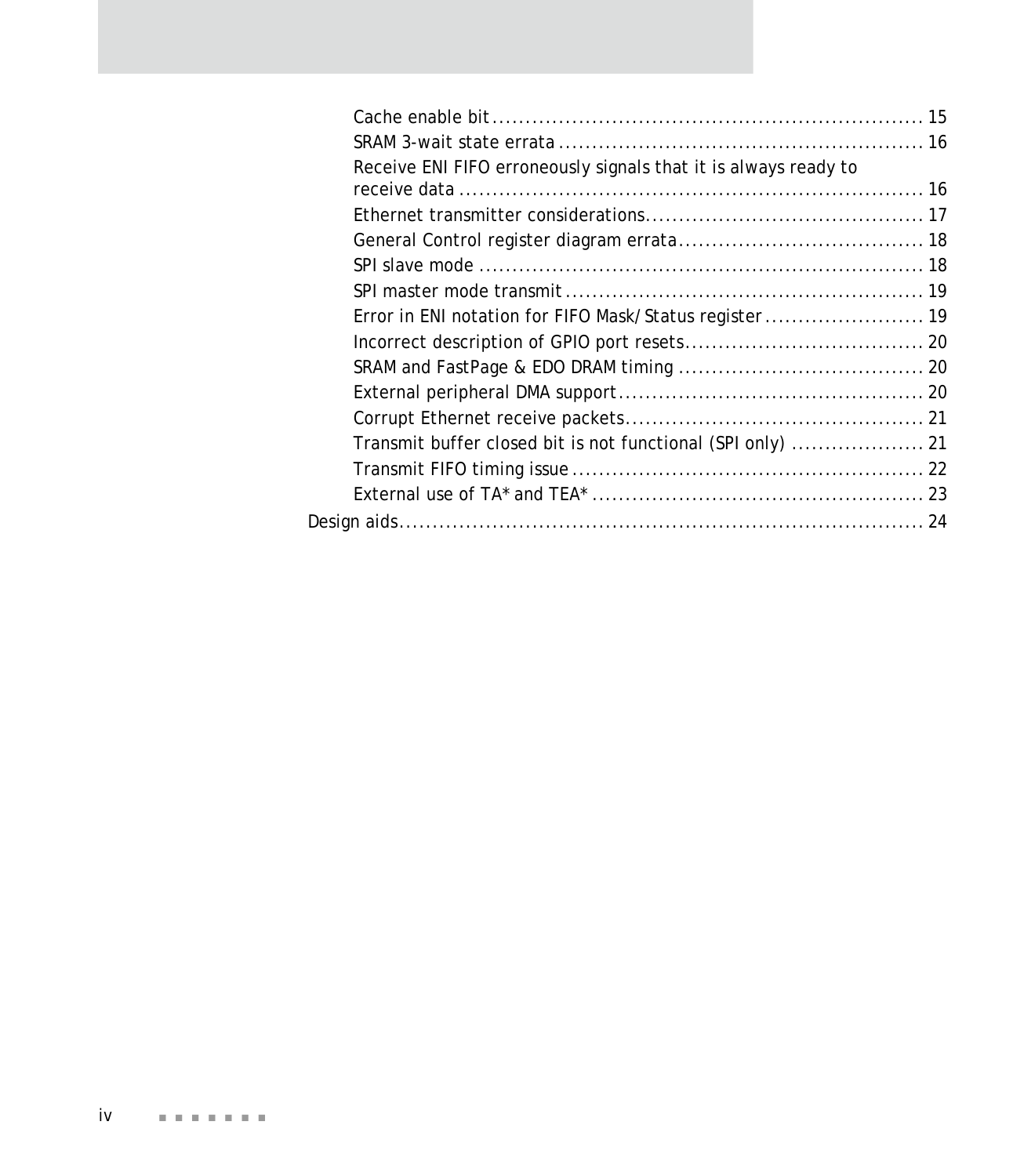| Receive ENI FIFO erroneously signals that it is always ready to |  |
|-----------------------------------------------------------------|--|
|                                                                 |  |
|                                                                 |  |
|                                                                 |  |
|                                                                 |  |
|                                                                 |  |
| Error in ENI notation for FIFO Mask/Status register 19          |  |
|                                                                 |  |
|                                                                 |  |
|                                                                 |  |
|                                                                 |  |
|                                                                 |  |
|                                                                 |  |
|                                                                 |  |
|                                                                 |  |
|                                                                 |  |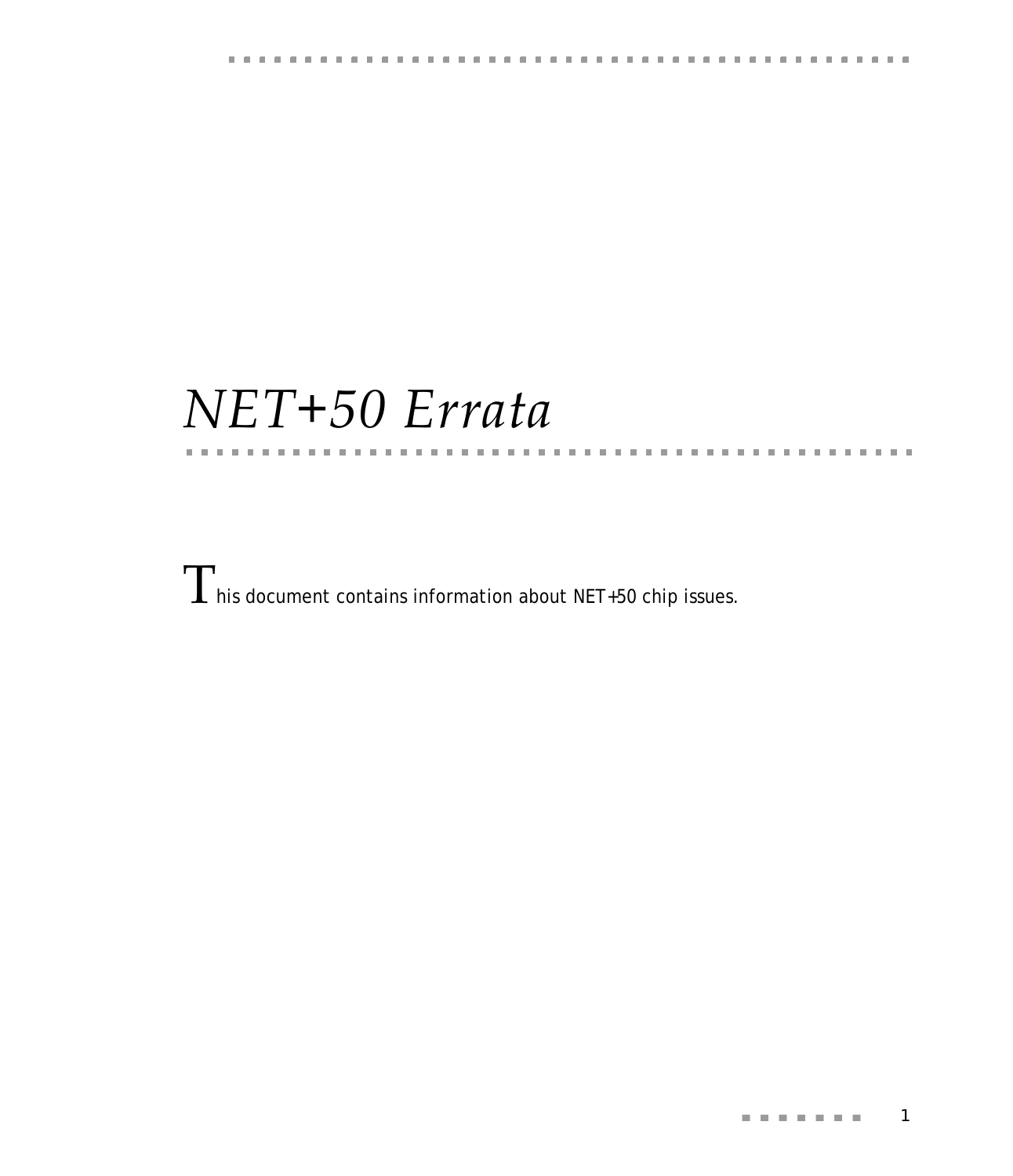**CONTRACTOR** 

# *NET+50 Errata*

. . . . . . . . . . .

**CONTRACTOR** 

 $\Gamma$  his document contains information about NET+50 chip issues.

m. m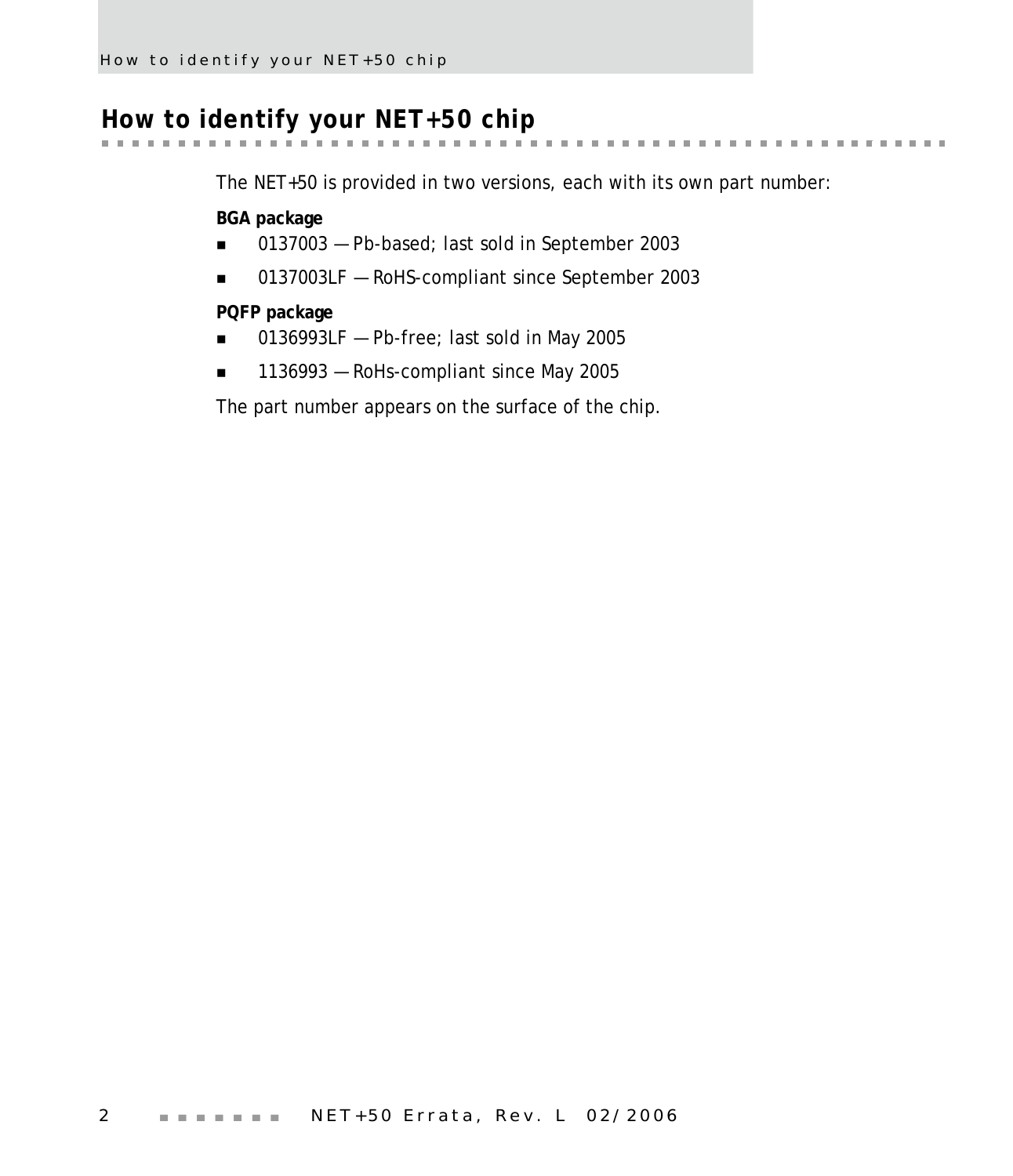# <span id="page-5-0"></span>**How to identify your NET+50 chip**

the control of the control

The NET+50 is provided in two versions, each with its own part number:

 $\alpha$  $\mathbf{u}$  $\sim 100$  km s  $^{-1}$   $\label{eq:3.1} \mathcal{M}=\mathcal{M}=\mathcal{M}=\mathcal{M}=\mathcal{M}=\mathcal{M},$ 

 $\mathbf{0}$  ,  $\mathbf{0}$  ,  $\mathbf{0}$ 

**BGA package**

- 0137003 Pb-based; last sold in September 2003
- 0137003LF RoHS-compliant since September 2003

**PQFP package**

- 0136993LF Pb-free; last sold in May 2005
- 1136993 RoHs-compliant since May 2005

The part number appears on the surface of the chip.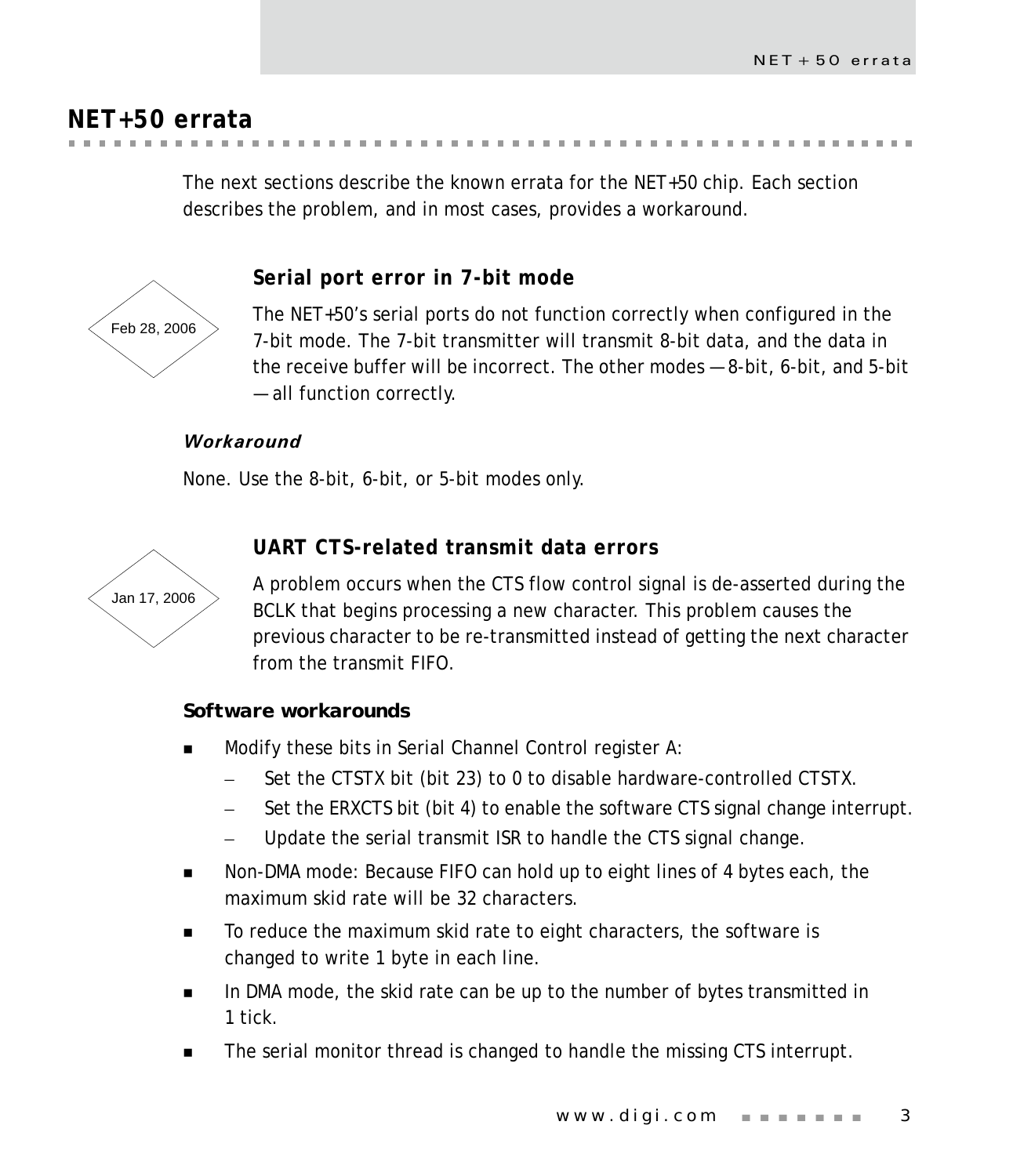# <span id="page-6-0"></span>**NET+50 errata**

The next sections describe the known errata for the NET+50 chip. Each section describes the problem, and in most cases, provides a workaround.

<span id="page-6-1"></span>

# **Serial port error in 7-bit mode**

The NET+50's serial ports do not function correctly when configured in the 7-bit mode. The 7-bit transmitter will transmit 8-bit data, and the data in the receive buffer will be incorrect. The other modes — 8-bit, 6-bit, and 5-bit — all function correctly.

# *Workaround*

None. Use the 8-bit, 6-bit, or 5-bit modes only.

<span id="page-6-2"></span>

# **UART CTS-related transmit data errors**

A problem occurs when the CTS flow control signal is de-asserted during the BCLK that begins processing a new character. This problem causes the previous character to be re-transmitted instead of getting the next character from the transmit FIFO.

# *Software workarounds*

- Modify these bits in Serial Channel Control register A:
	- Set the CTSTX bit (bit 23) to 0 to disable hardware-controlled CTSTX.
	- Set the ERXCTS bit (bit 4) to enable the software CTS signal change interrupt.
	- Update the serial transmit ISR to handle the CTS signal change.
- Non-DMA mode: Because FIFO can hold up to eight lines of 4 bytes each, the maximum skid rate will be 32 characters.
- To reduce the maximum skid rate to eight characters, the software is changed to write 1 byte in each line.
- In DMA mode, the skid rate can be up to the number of bytes transmitted in 1 tick.
- The serial monitor thread is changed to handle the missing CTS interrupt.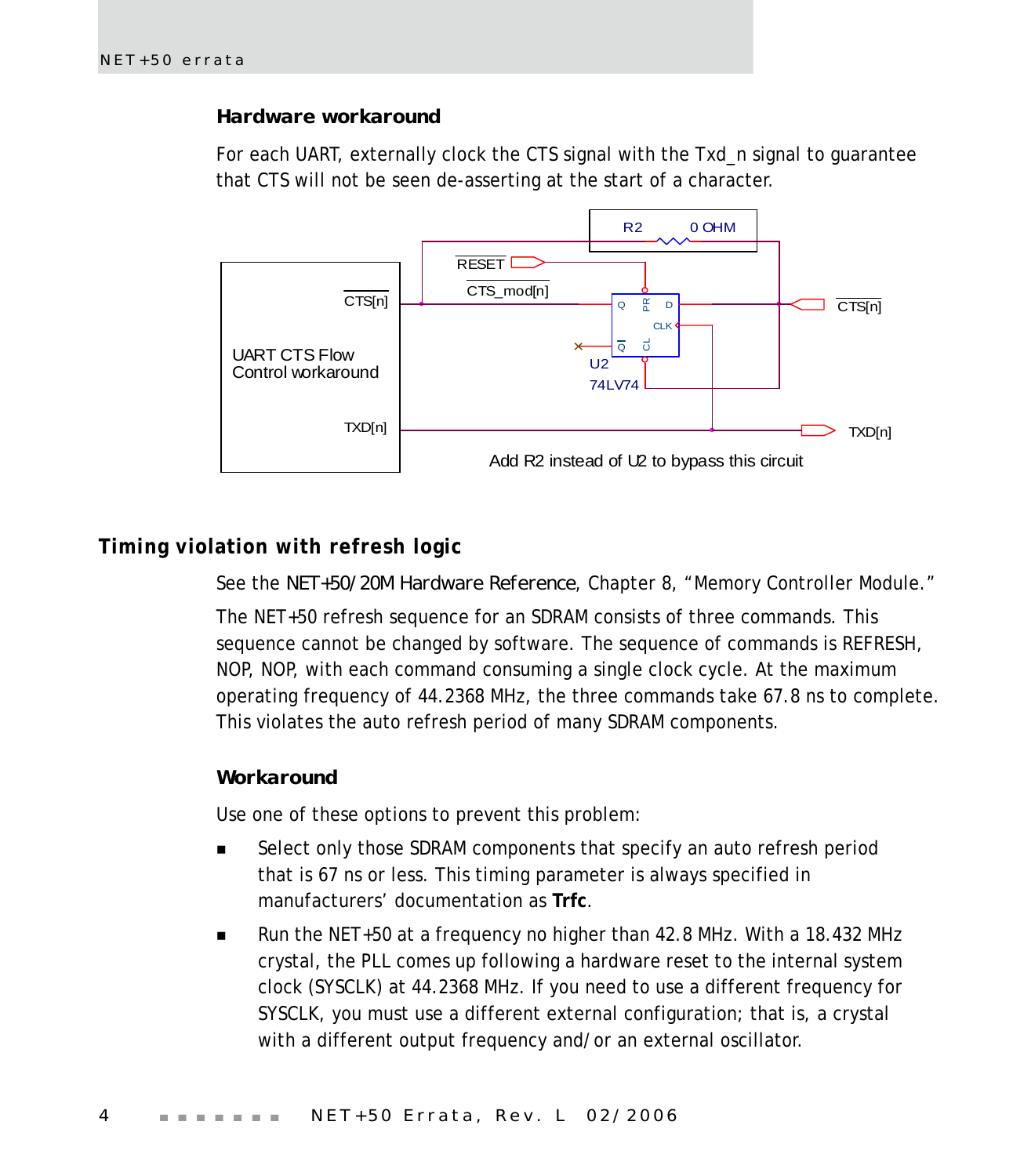#### *Hardware workaround*

For each UART, externally clock the CTS signal with the Txd\_n signal to guarantee that CTS will not be seen de-asserting at the start of a character.



# <span id="page-7-0"></span>**Timing violation with refresh logic**

See the *NET+50/20M Hardware Reference*, Chapter 8, "Memory Controller Module." The NET+50 refresh sequence for an SDRAM consists of three commands. This sequence cannot be changed by software. The sequence of commands is REFRESH, NOP, NOP, with each command consuming a single clock cycle. At the maximum operating frequency of 44.2368 MHz, the three commands take 67.8 ns to complete. This violates the auto refresh period of many SDRAM components.

#### *Workaround*

Use one of these options to prevent this problem:

- Select only those SDRAM components that specify an auto refresh period that is 67 ns or less. This timing parameter is always specified in manufacturers' documentation as **Trfc**.
- Run the NET+50 at a frequency no higher than 42.8 MHz. With a 18.432 MHz crystal, the PLL comes up following a hardware reset to the internal system clock (SYSCLK) at 44.2368 MHz. If you need to use a different frequency for SYSCLK, you must use a different external configuration; that is, a crystal with a different output frequency and/or an external oscillator.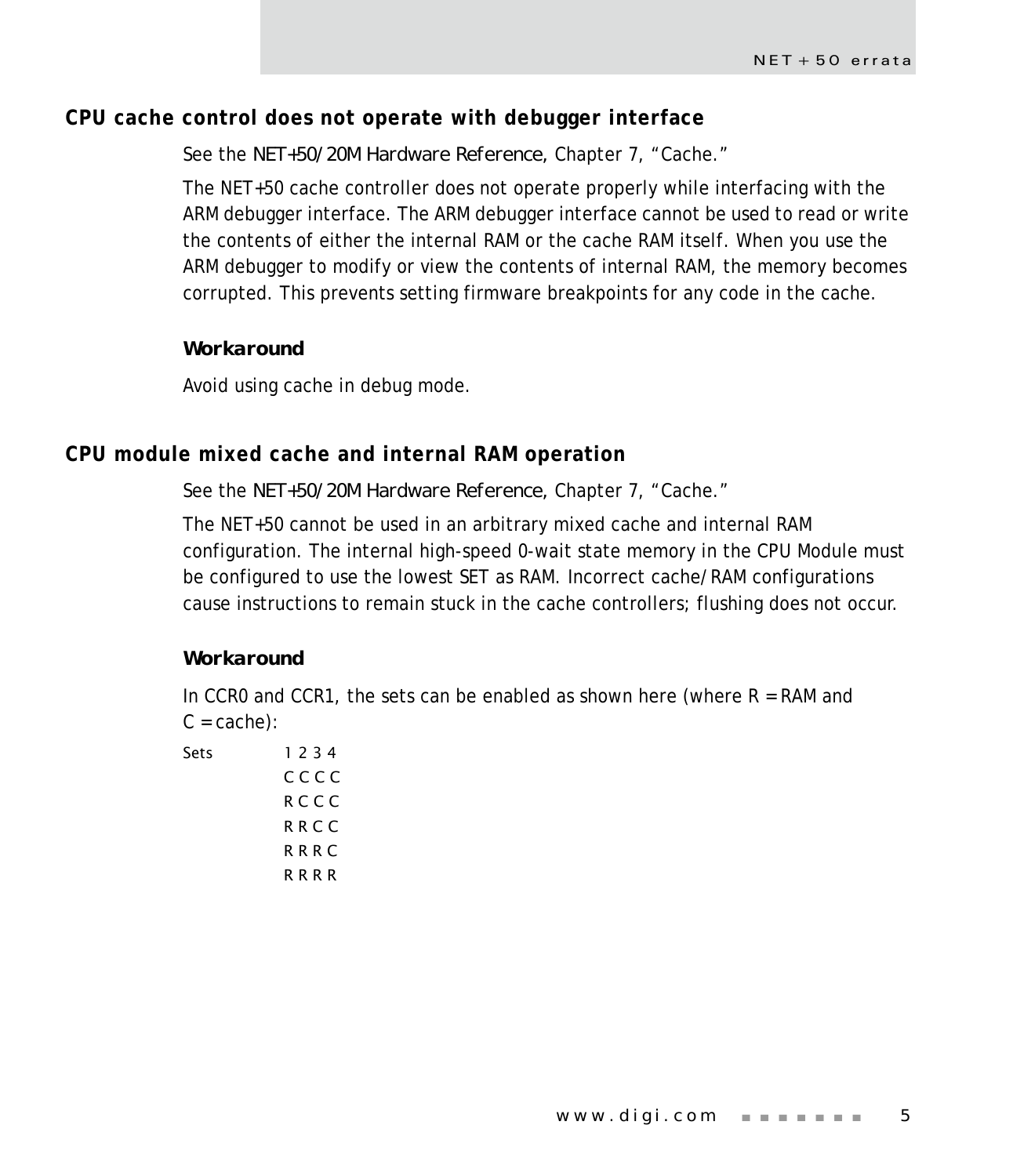# <span id="page-8-0"></span>**CPU cache control does not operate with debugger interface**

See the *NET+50/20M Hardware Reference,* Chapter 7, "Cache."

The NET+50 cache controller does not operate properly while interfacing with the ARM debugger interface. The ARM debugger interface cannot be used to read or write the contents of either the internal RAM or the cache RAM itself. When you use the ARM debugger to modify or view the contents of internal RAM, the memory becomes corrupted. This prevents setting firmware breakpoints for any code in the cache.

#### *Workaround*

Avoid using cache in debug mode.

# <span id="page-8-1"></span>**CPU module mixed cache and internal RAM operation**

#### See the *NET+50/20M Hardware Reference,* Chapter 7, "Cache."

The NET+50 cannot be used in an arbitrary mixed cache and internal RAM configuration. The internal high-speed 0-wait state memory in the CPU Module must be configured to use the lowest SET as RAM. Incorrect cache/RAM configurations cause instructions to remain stuck in the cache controllers; flushing does not occur.

#### *Workaround*

In CCR0 and CCR1, the sets can be enabled as shown here (where  $R = RAM$  and  $C = cache$ :

Sets 1 2 3 4 C C C C R C C C R R C C R R R C R R R R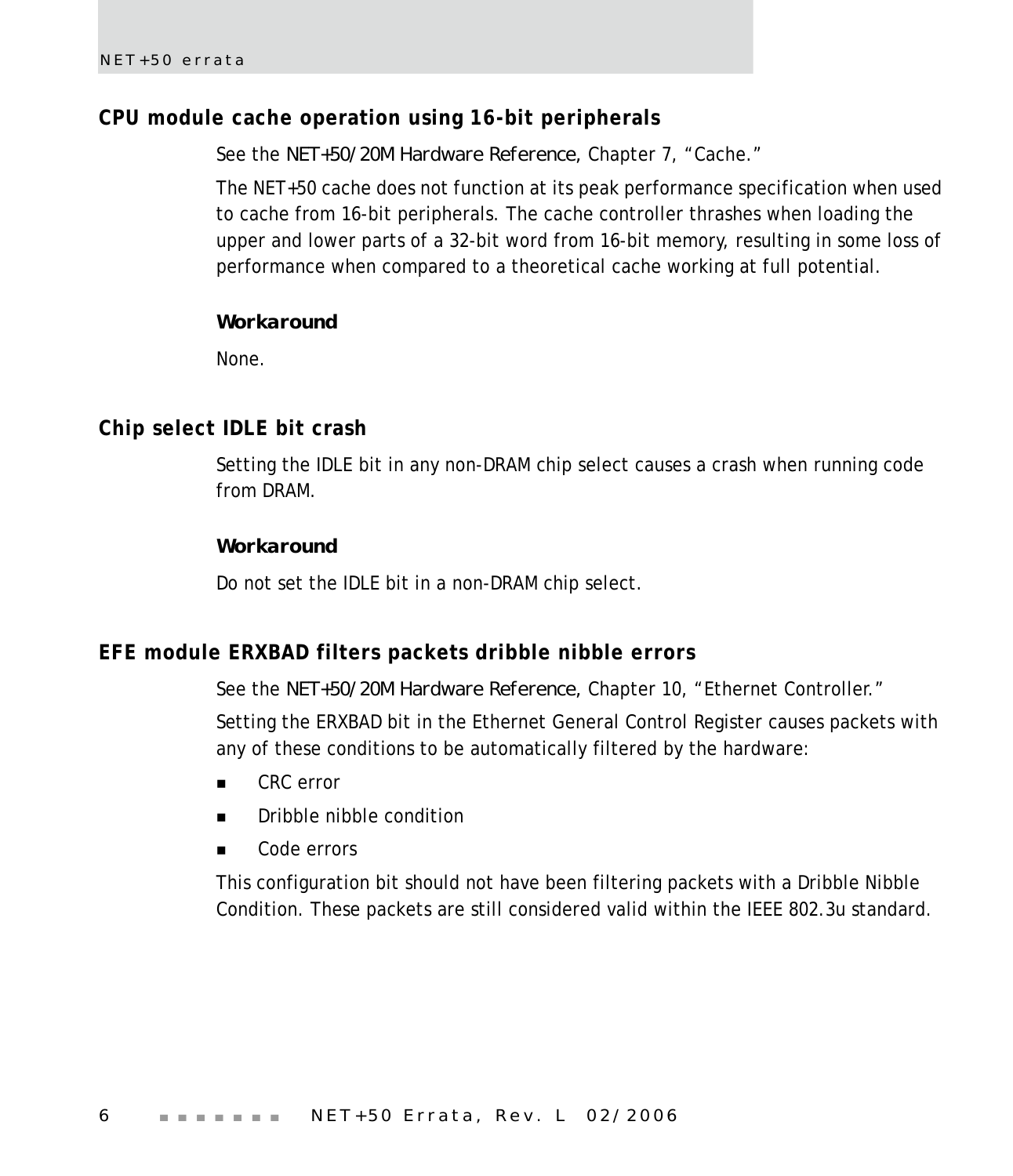# <span id="page-9-0"></span>**CPU module cache operation using 16-bit peripherals**

See the *NET+50/20M Hardware Reference,* Chapter 7, "Cache."

The NET+50 cache does not function at its peak performance specification when used to cache from 16-bit peripherals. The cache controller thrashes when loading the upper and lower parts of a 32-bit word from 16-bit memory, resulting in some loss of performance when compared to a theoretical cache working at full potential.

#### *Workaround*

None.

#### <span id="page-9-1"></span>**Chip select IDLE bit crash**

Setting the IDLE bit in any non-DRAM chip select causes a crash when running code from DRAM.

#### *Workaround*

Do not set the IDLE bit in a non-DRAM chip select.

#### <span id="page-9-2"></span>**EFE module ERXBAD filters packets dribble nibble errors**

See the *NET+50/20M Hardware Reference,* Chapter 10, "Ethernet Controller."

Setting the ERXBAD bit in the Ethernet General Control Register causes packets with any of these conditions to be automatically filtered by the hardware:

- CRC error
- **Dribble nibble condition**
- Code errors

This configuration bit should not have been filtering packets with a Dribble Nibble Condition. These packets are still considered valid within the IEEE 802.3u standard.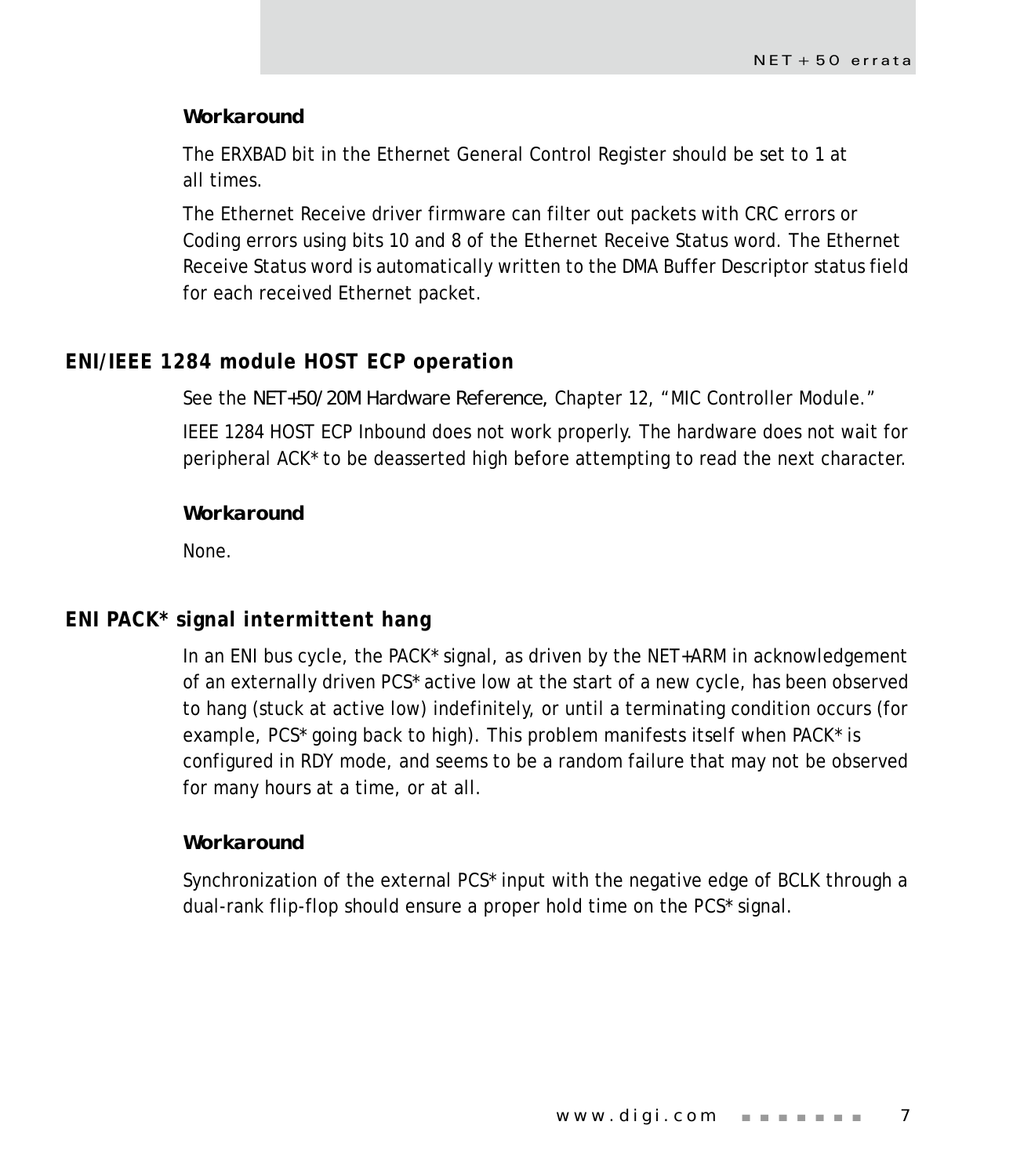#### *Workaround*

The ERXBAD bit in the Ethernet General Control Register should be set to 1 at all times.

The Ethernet Receive driver firmware can filter out packets with CRC errors or Coding errors using bits 10 and 8 of the Ethernet Receive Status word. The Ethernet Receive Status word is automatically written to the DMA Buffer Descriptor status field for each received Ethernet packet.

# <span id="page-10-0"></span>**ENI/IEEE 1284 module HOST ECP operation**

See the *NET+50/20M Hardware Reference,* Chapter 12, "MIC Controller Module." IEEE 1284 HOST ECP Inbound does not work properly. The hardware does not wait for peripheral ACK\* to be deasserted high before attempting to read the next character.

#### *Workaround*

None.

# <span id="page-10-1"></span>**ENI PACK\* signal intermittent hang**

In an ENI bus cycle, the PACK\* signal, as driven by the NET+ARM in acknowledgement of an externally driven PCS\* active low at the start of a new cycle, has been observed to hang (stuck at active low) indefinitely, or until a terminating condition occurs (for example, PCS\* going back to high). This problem manifests itself when PACK\* is configured in RDY mode, and seems to be a random failure that may not be observed for many hours at a time, or at all.

#### *Workaround*

Synchronization of the external PCS\* input with the negative edge of BCLK through a dual-rank flip-flop should ensure a proper hold time on the PCS\* signal.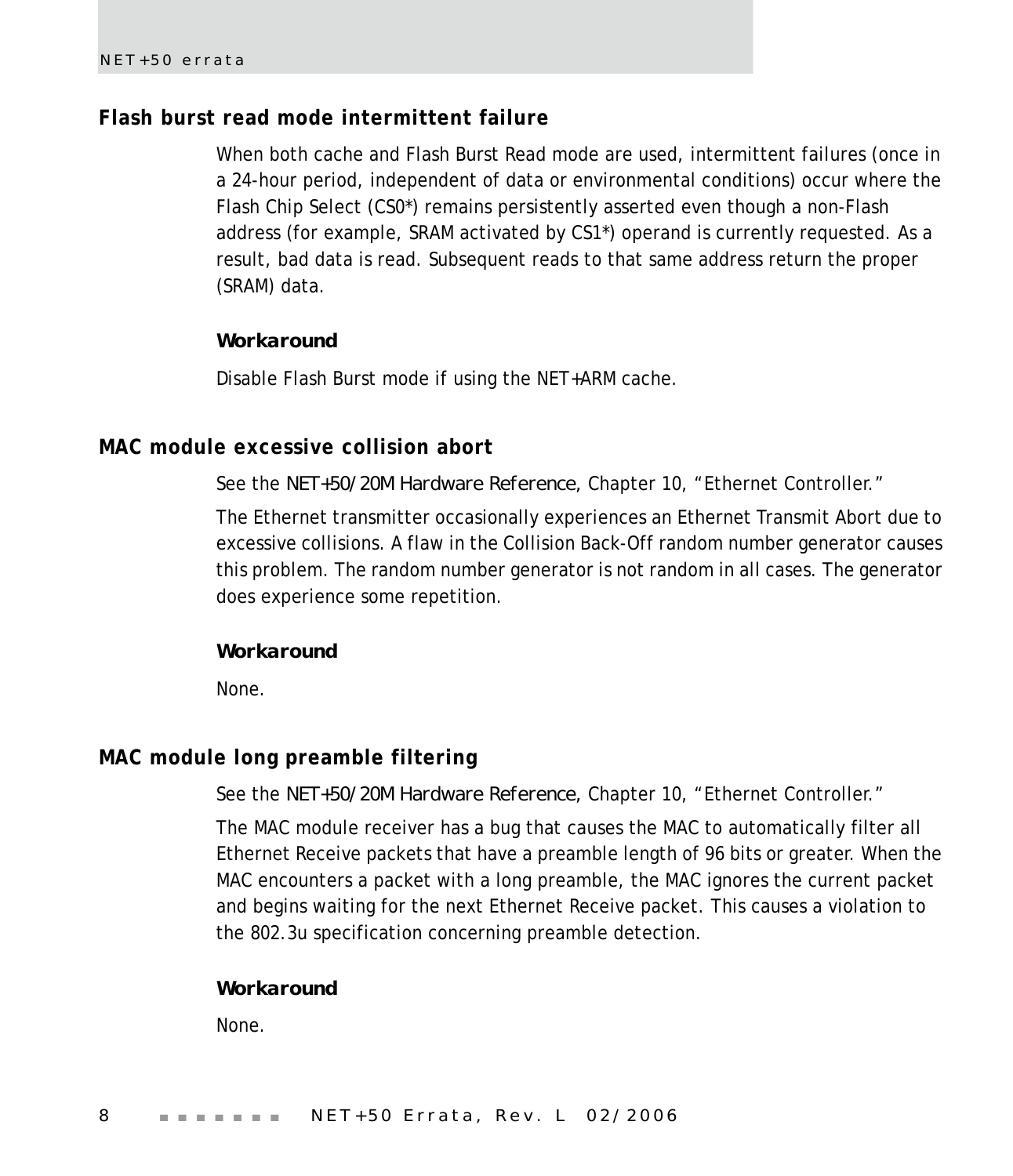# <span id="page-11-0"></span>**Flash burst read mode intermittent failure**

When both cache and Flash Burst Read mode are used, intermittent failures (once in a 24-hour period, independent of data or environmental conditions) occur where the Flash Chip Select (CS0\*) remains persistently asserted even though a non-Flash address (for example, SRAM activated by CS1\*) operand is currently requested. As a result, bad data is read. Subsequent reads to that same address return the proper (SRAM) data.

#### *Workaround*

Disable Flash Burst mode if using the NET+ARM cache.

# <span id="page-11-1"></span>**MAC module excessive collision abort**

See the *NET+50/20M Hardware Reference,* Chapter 10, "Ethernet Controller."

The Ethernet transmitter occasionally experiences an Ethernet Transmit Abort due to excessive collisions. A flaw in the Collision Back-Off random number generator causes this problem. The random number generator is not random in all cases. The generator does experience some repetition.

#### *Workaround*

None.

# <span id="page-11-2"></span>**MAC module long preamble filtering**

See the *NET+50/20M Hardware Reference,* Chapter 10, "Ethernet Controller."

The MAC module receiver has a bug that causes the MAC to automatically filter all Ethernet Receive packets that have a preamble length of 96 bits or greater. When the MAC encounters a packet with a long preamble, the MAC ignores the current packet and begins waiting for the next Ethernet Receive packet. This causes a violation to the 802.3u specification concerning preamble detection.

#### *Workaround*

None.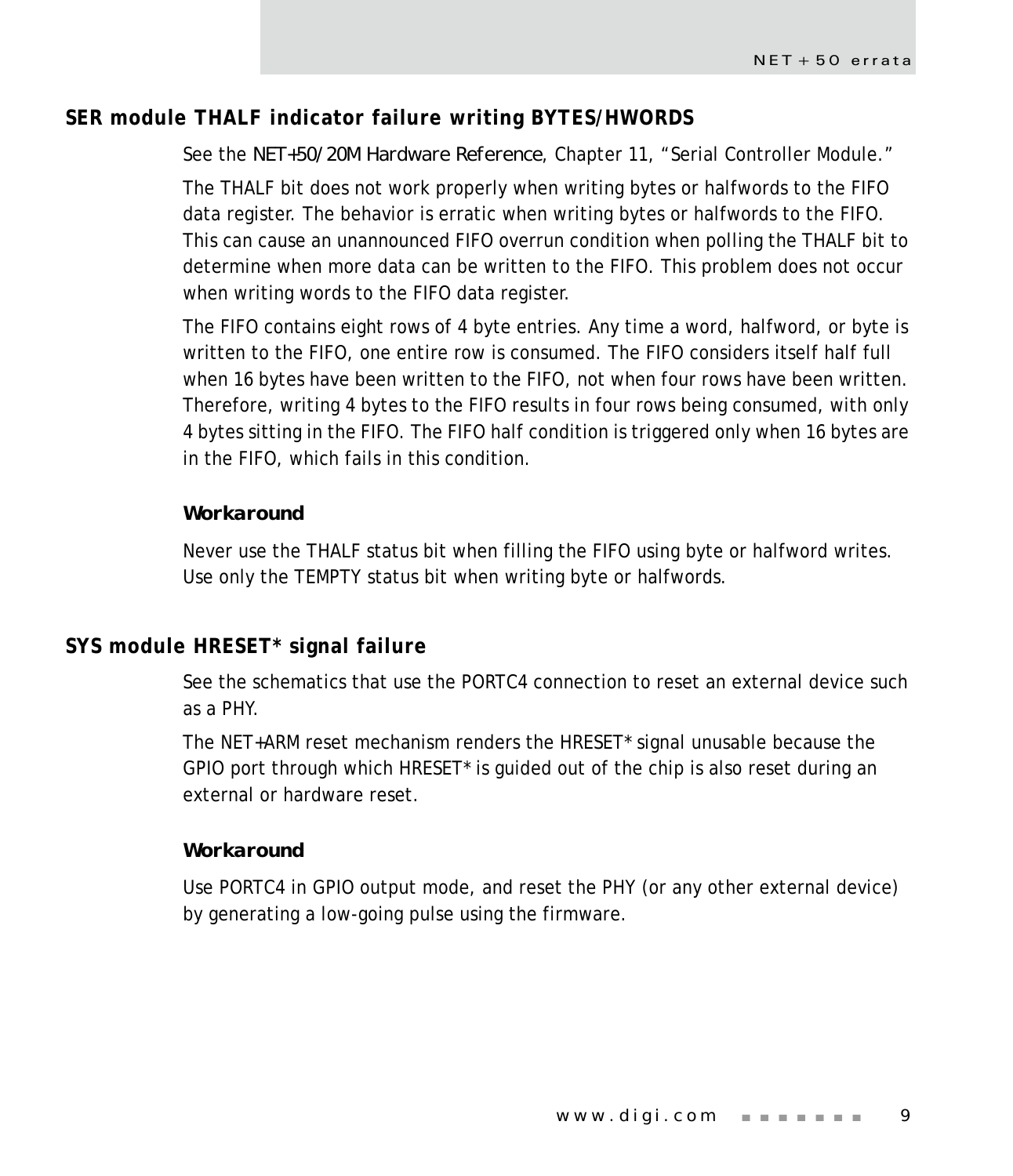# <span id="page-12-0"></span>**SER module THALF indicator failure writing BYTES/HWORDS**

See the *NET+50/20M Hardware Reference*, Chapter 11, "Serial Controller Module."

The THALF bit does not work properly when writing bytes or halfwords to the FIFO data register. The behavior is erratic when writing bytes or halfwords to the FIFO. This can cause an unannounced FIFO overrun condition when polling the THALF bit to determine when more data can be written to the FIFO. This problem does not occur when writing words to the FIFO data register.

The FIFO contains eight rows of 4 byte entries. Any time a word, halfword, or byte is written to the FIFO, one entire row is consumed. The FIFO considers itself half full when 16 bytes have been written to the FIFO, not when four rows have been written. Therefore, writing 4 bytes to the FIFO results in four rows being consumed, with only 4 bytes sitting in the FIFO. The FIFO half condition is triggered only when 16 bytes are in the FIFO, which fails in this condition.

#### *Workaround*

Never use the THALF status bit when filling the FIFO using byte or halfword writes. Use only the TEMPTY status bit when writing byte or halfwords.

# <span id="page-12-1"></span>**SYS module HRESET\* signal failure**

See the schematics that use the PORTC4 connection to reset an external device such as a PHY.

The NET+ARM reset mechanism renders the HRESET\* signal unusable because the GPIO port through which HRESET\* is guided out of the chip is also reset during an external or hardware reset.

#### *Workaround*

Use PORTC4 in GPIO output mode, and reset the PHY (or any other external device) by generating a low-going pulse using the firmware.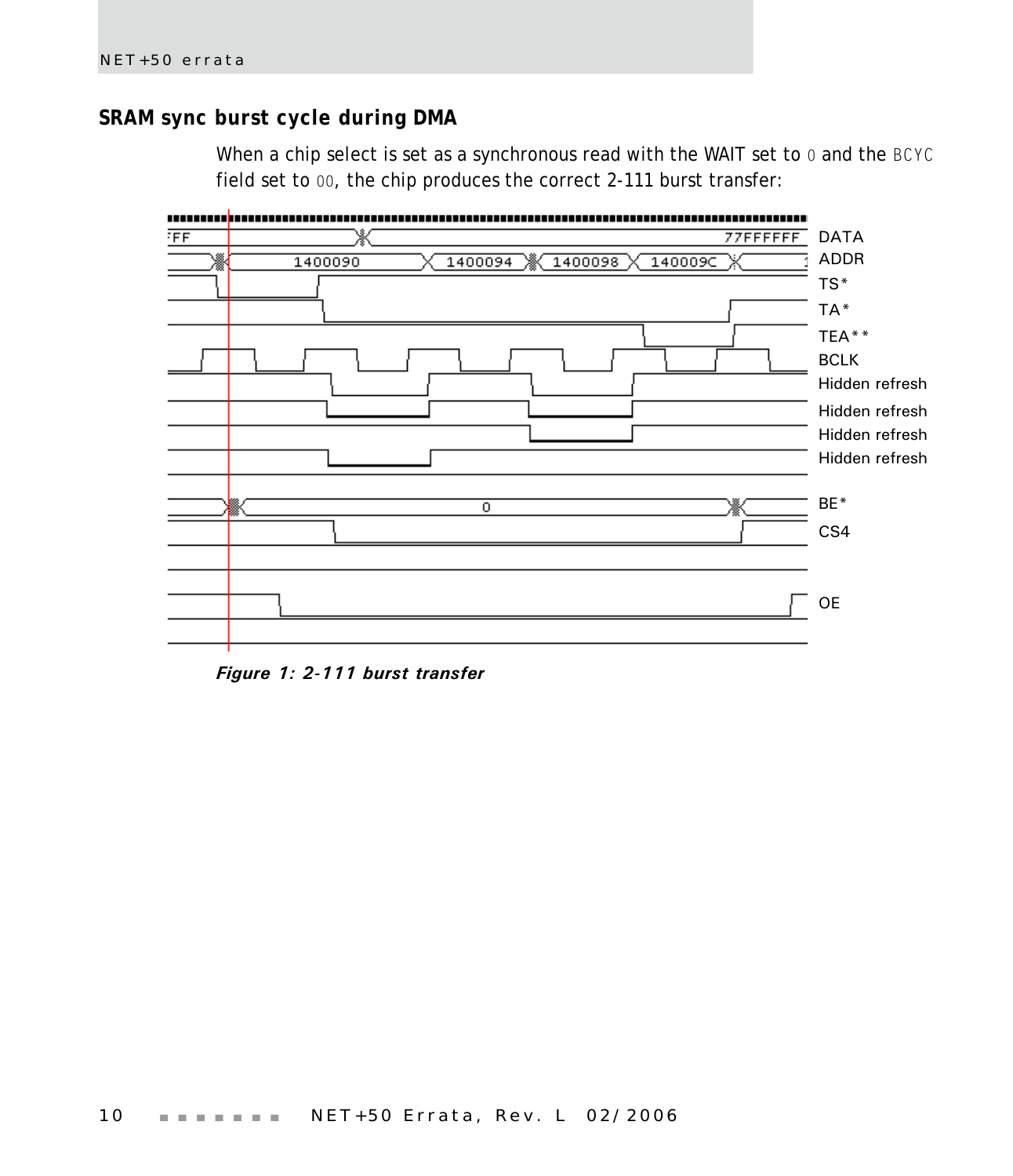# <span id="page-13-0"></span>**SRAM sync burst cycle during DMA**

When a chip select is set as a synchronous read with the WAIT set to 0 and the BCYC field set to 00, the chip produces the correct 2-111 burst transfer:



*Figure 1: 2-111 burst transfer*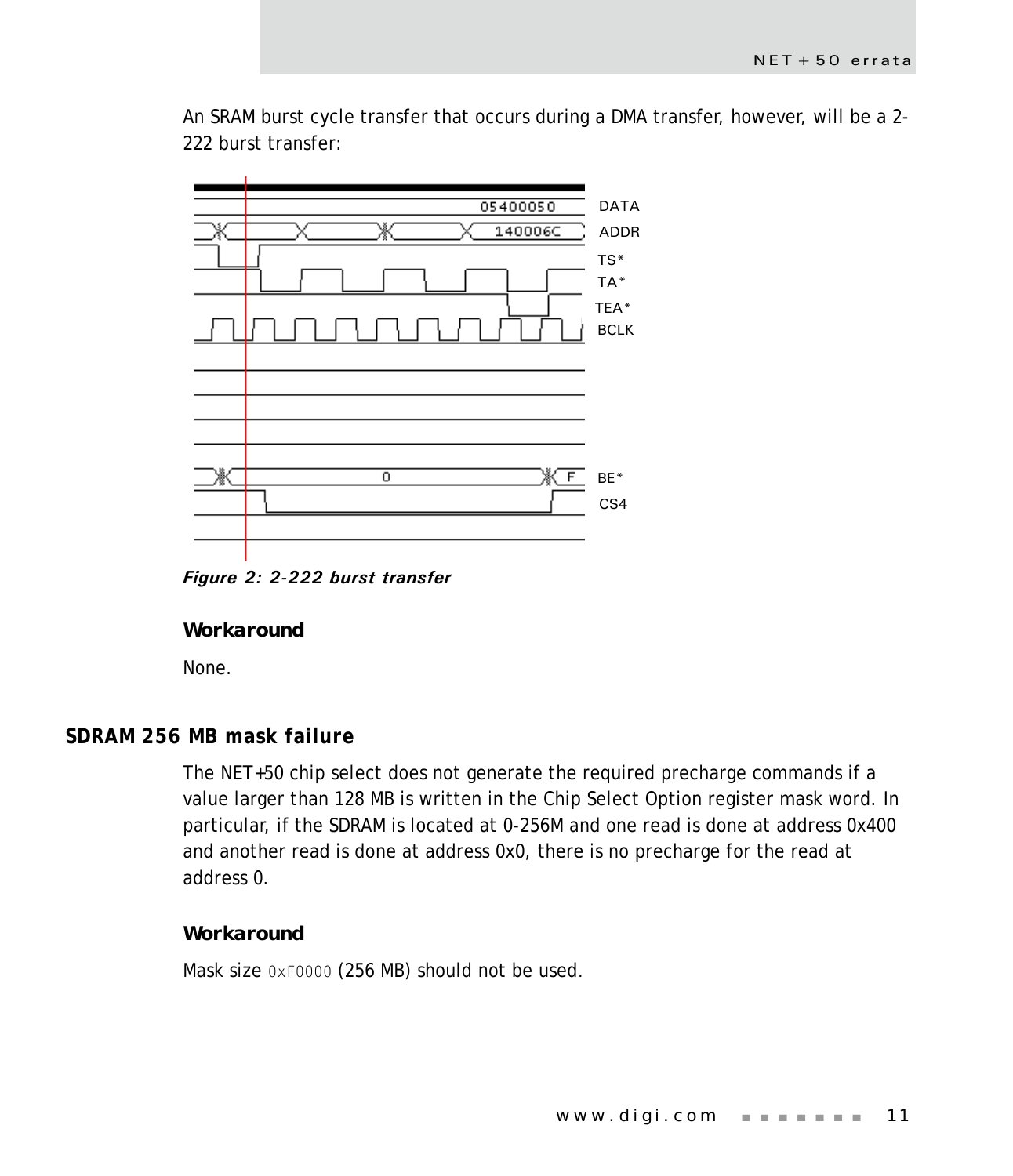An SRAM burst cycle transfer that occurs during a DMA transfer, however, will be a 2- 222 burst transfer:



*Figure 2: 2-222 burst transfer*

#### *Workaround*

None.

# <span id="page-14-0"></span>**SDRAM 256 MB mask failure**

The NET+50 chip select does not generate the required precharge commands if a value larger than 128 MB is written in the Chip Select Option register mask word. In particular, if the SDRAM is located at 0-256M and one read is done at address 0x400 and another read is done at address 0x0, there is no precharge for the read at address 0.

#### *Workaround*

Mask size 0xF0000 (256 MB) should not be used.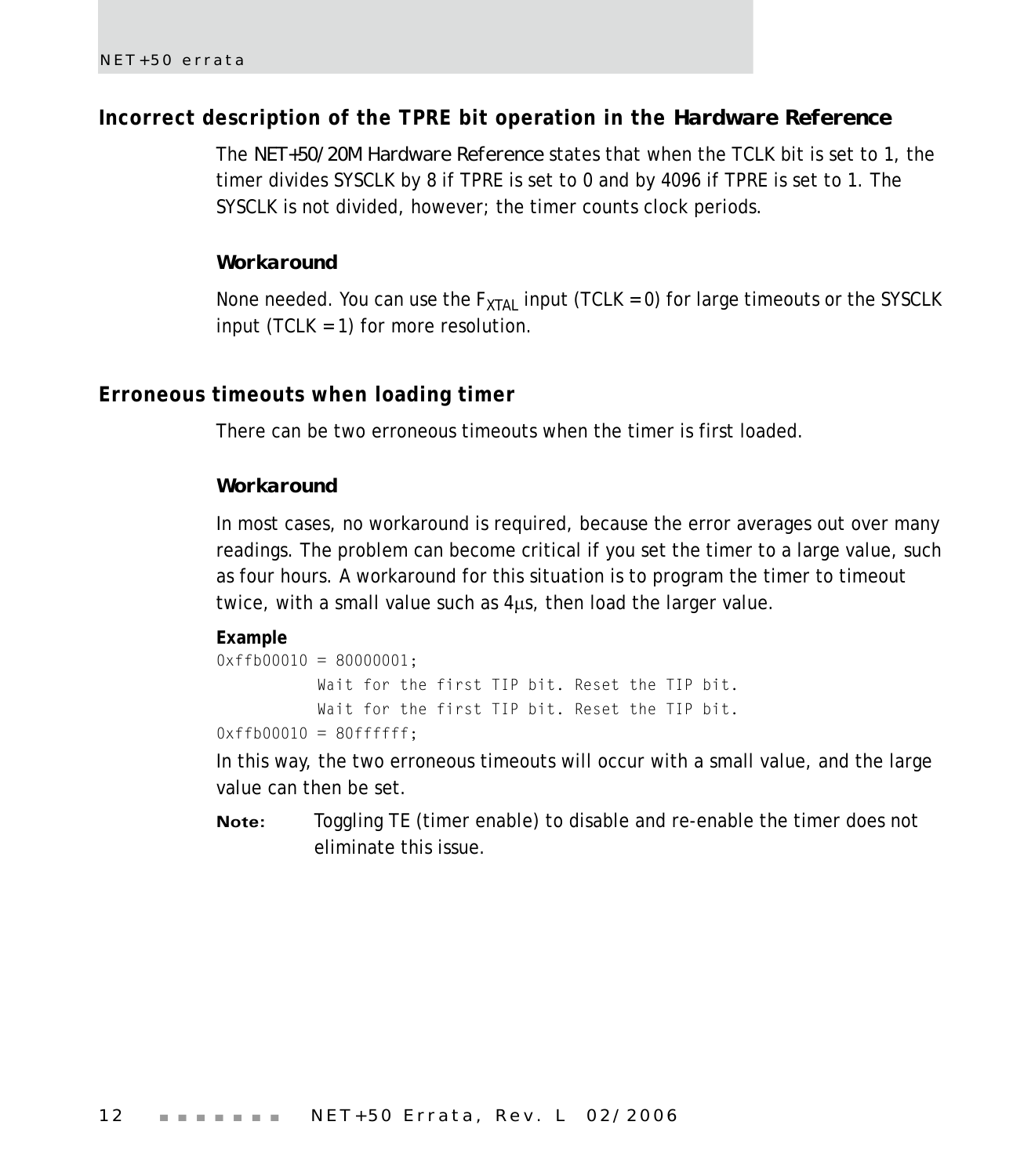# <span id="page-15-0"></span>**Incorrect description of the TPRE bit operation in the** *Hardware Reference*

The *NET+50/20M Hardware Reference* states that when the TCLK bit is set to 1, the timer divides SYSCLK by 8 if TPRE is set to 0 and by 4096 if TPRE is set to 1. The SYSCLK is not divided, however; the timer counts clock periods.

#### *Workaround*

None needed. You can use the  $F_{XTAL}$  input (TCLK = 0) for large timeouts or the SYSCLK input (TCLK  $= 1$ ) for more resolution.

# <span id="page-15-1"></span>**Erroneous timeouts when loading timer**

There can be two erroneous timeouts when the timer is first loaded.

#### *Workaround*

In most cases, no workaround is required, because the error averages out over many readings. The problem can become critical if you set the timer to a large value, such as four hours. A workaround for this situation is to program the timer to timeout twice, with a small value such as 4μs, then load the larger value.

#### **Example**

```
0 \times f \uparrow 00010 = 80000001;Wait for the first TIP bit. Reset the TIP bit.
           Wait for the first TIP bit. Reset the TIP bit.
0xffb00010 = 80ffffff;
```
In this way, the two erroneous timeouts will occur with a small value, and the large value can then be set.

**Note:** Toggling TE (timer enable) to disable and re-enable the timer does not eliminate this issue.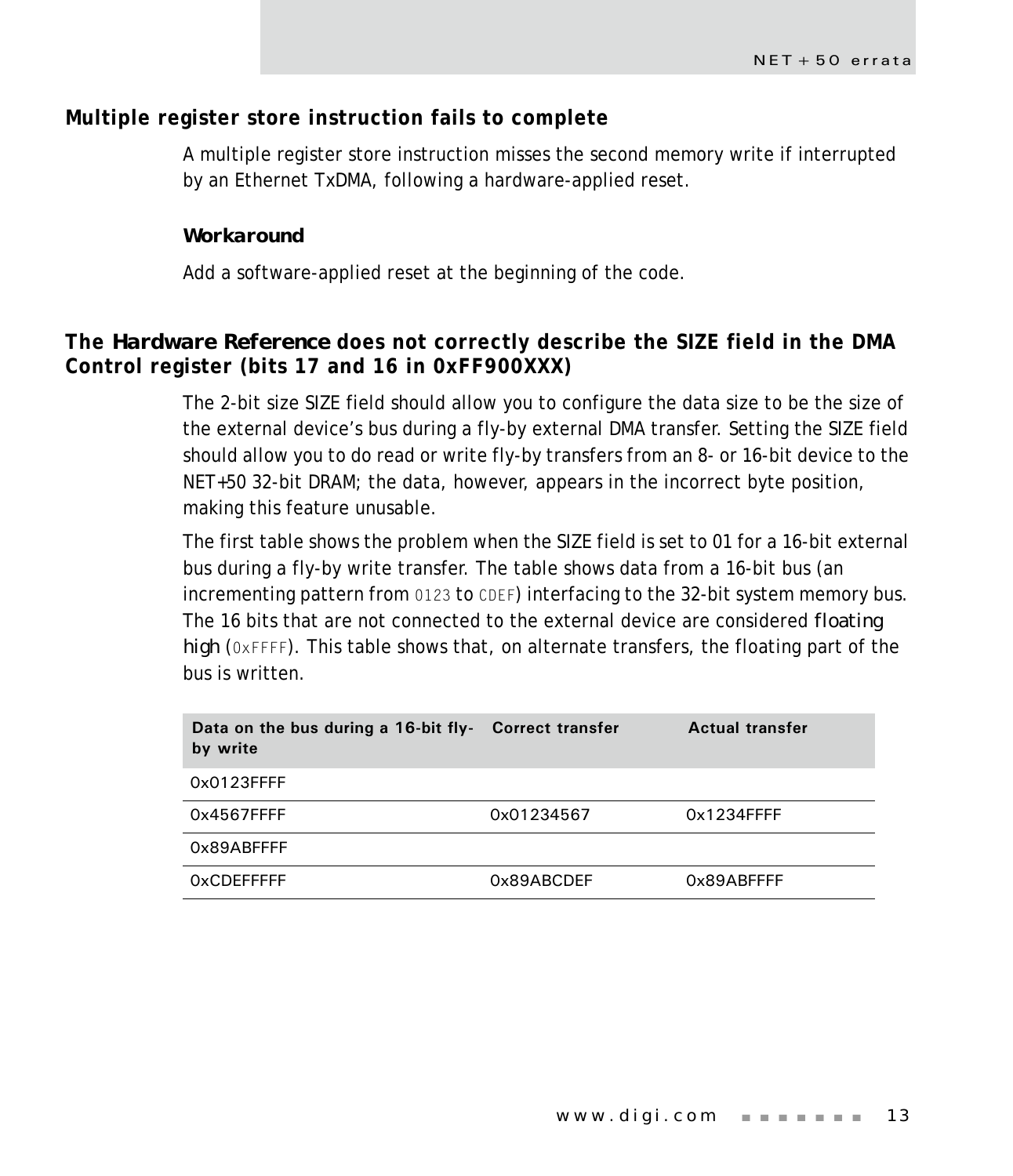# <span id="page-16-0"></span>**Multiple register store instruction fails to complete**

A multiple register store instruction misses the second memory write if interrupted by an Ethernet TxDMA, following a hardware-applied reset.

#### *Workaround*

Add a software-applied reset at the beginning of the code.

# <span id="page-16-1"></span>**The** *Hardware Reference* **does not correctly describe the SIZE field in the DMA Control register (bits 17 and 16 in 0xFF900XXX)**

The 2-bit size SIZE field should allow you to configure the data size to be the size of the external device's bus during a fly-by external DMA transfer. Setting the SIZE field should allow you to do read or write fly-by transfers from an 8- or 16-bit device to the NET+50 32-bit DRAM; the data, however, appears in the incorrect byte position, making this feature unusable.

The first table shows the problem when the SIZE field is set to 01 for a 16-bit external bus during a fly-by write transfer. The table shows data from a 16-bit bus (an incrementing pattern from 0123 to CDEF) interfacing to the 32-bit system memory bus. The 16 bits that are not connected to the external device are considered *floating high* (0xFFFF). This table shows that, on alternate transfers, the floating part of the bus is written.

| Data on the bus during a 16-bit fly- Correct transfer<br>by write |            | <b>Actual transfer</b> |
|-------------------------------------------------------------------|------------|------------------------|
| 0x0123FFFF                                                        |            |                        |
| 0x4567FFFF                                                        | 0x01234567 | $0x1234$ FFFF          |
| 0x89ABFFFF                                                        |            |                        |
| <b>OxCDEFFFFF</b>                                                 | 0x89ABCDEF | 0x89ABFFFF             |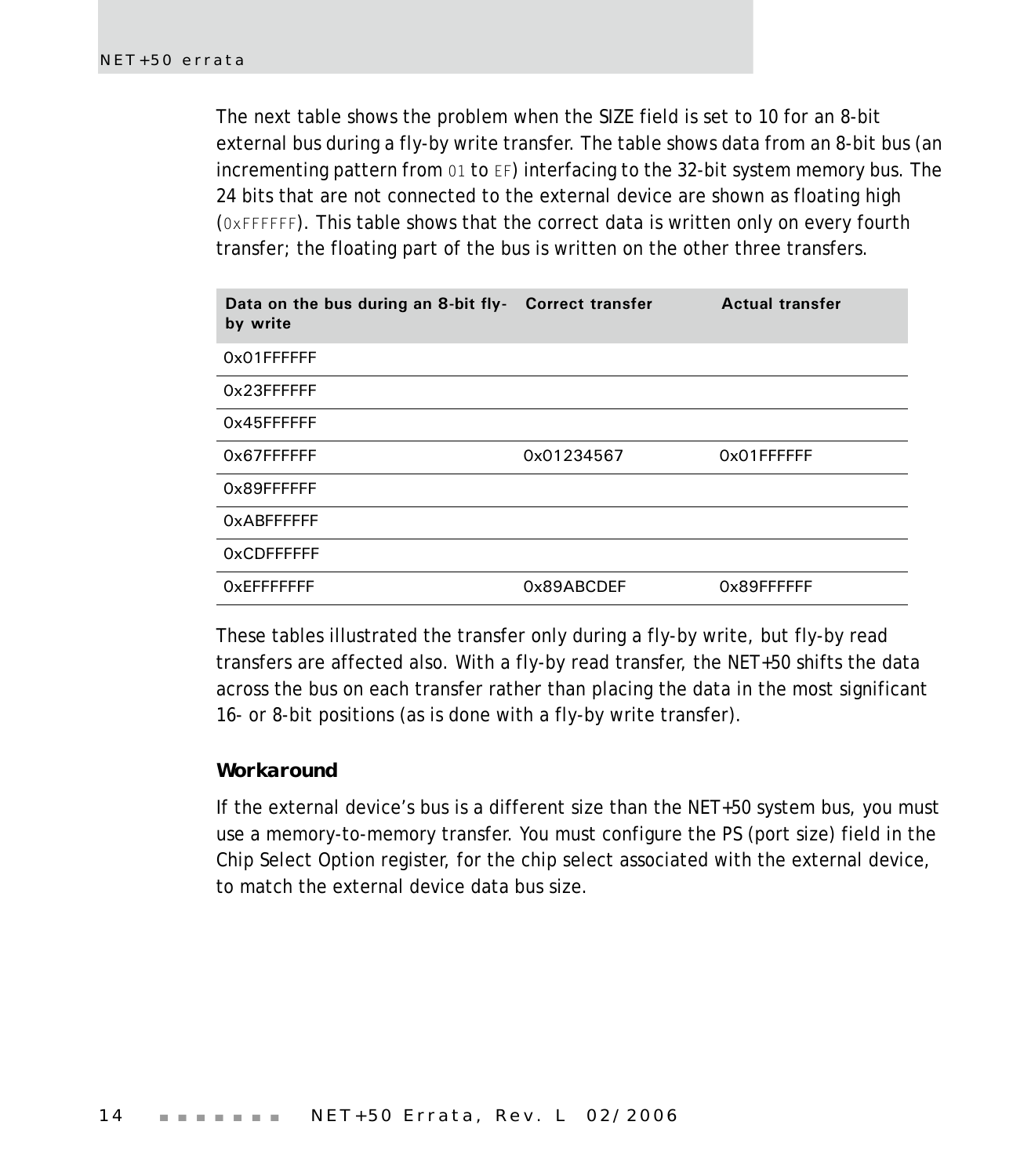The next table shows the problem when the SIZE field is set to 10 for an 8-bit external bus during a fly-by write transfer. The table shows data from an 8-bit bus (an incrementing pattern from 01 to EF) interfacing to the 32-bit system memory bus. The 24 bits that are not connected to the external device are shown as floating high (0xFFFFFF). This table shows that the correct data is written only on every fourth transfer; the floating part of the bus is written on the other three transfers.

| Data on the bus during an 8-bit fly- Correct transfer<br>by write |            | <b>Actual transfer</b> |
|-------------------------------------------------------------------|------------|------------------------|
| 0x01FFFFFF                                                        |            |                        |
| 0x23FFFFFF                                                        |            |                        |
| 0x45FFFFFF                                                        |            |                        |
| 0x67FFFFFF                                                        | 0x01234567 | 0x01FFFFFFF            |
| 0x89FFFFFF                                                        |            |                        |
| <b>OxABFFFFFF</b>                                                 |            |                        |
| <b>OxCDFFFFFF</b>                                                 |            |                        |
| OXEFFFFFFF                                                        | 0x89ABCDEF | 0x89FFFFFF             |

These tables illustrated the transfer only during a fly-by write, but fly-by read transfers are affected also. With a fly-by read transfer, the NET+50 shifts the data across the bus on each transfer rather than placing the data in the most significant 16- or 8-bit positions (as is done with a fly-by write transfer).

#### *Workaround*

If the external device's bus is a different size than the NET+50 system bus, you must use a memory-to-memory transfer. You must configure the PS (port size) field in the Chip Select Option register, for the chip select associated with the external device, to match the external device data bus size.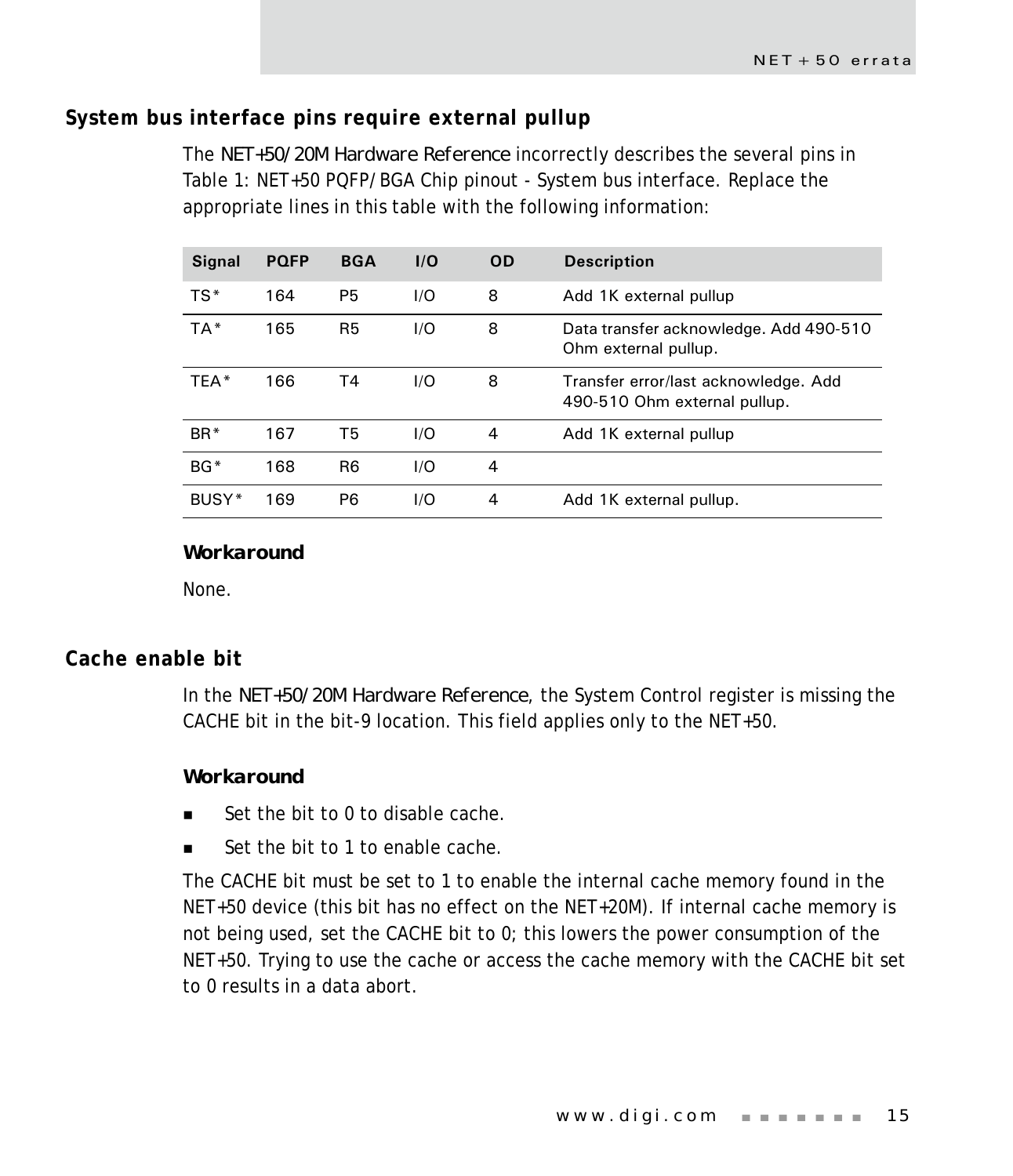# <span id="page-18-0"></span>**System bus interface pins require external pullup**

The *NET+50/20M Hardware Reference* incorrectly describes the several pins in Table 1: NET+50 PQFP/BGA Chip pinout - System bus interface. Replace the appropriate lines in this table with the following information:

| <b>Signal</b>   | <b>PQFP</b> | <b>BGA</b>     | 1/O | <b>OD</b> | <b>Description</b>                                                   |
|-----------------|-------------|----------------|-----|-----------|----------------------------------------------------------------------|
| $TS*$           | 164         | P <sub>5</sub> | 1/O | 8         | Add 1K external pullup                                               |
| TA*             | 165         | R <sub>5</sub> | 1/O | 8         | Data transfer acknowledge. Add 490-510<br>Ohm external pullup.       |
| TFA*            | 166         | Τ4             | 1/O | 8         | Transfer error/last acknowledge. Add<br>490-510 Ohm external pullup. |
| BR <sup>*</sup> | 167         | T5             | 1/O | 4         | Add 1K external pullup                                               |
| $BG*$           | 168         | R <sub>6</sub> | 1/O | 4         |                                                                      |
| BUSY*           | 169         | P6             | 1/O | 4         | Add 1K external pullup.                                              |

*Workaround*

None.

# <span id="page-18-1"></span>**Cache enable bit**

In the *NET+50/20M Hardware Reference*, the System Control register is missing the CACHE bit in the bit-9 location. This field applies only to the NET+50.

#### *Workaround*

- Set the bit to 0 to disable cache.
- Set the bit to 1 to enable cache.

The CACHE bit must be set to 1 to enable the internal cache memory found in the NET+50 device (this bit has no effect on the NET+20M). If internal cache memory is not being used, set the CACHE bit to 0; this lowers the power consumption of the NET+50. Trying to use the cache or access the cache memory with the CACHE bit set to 0 results in a data abort.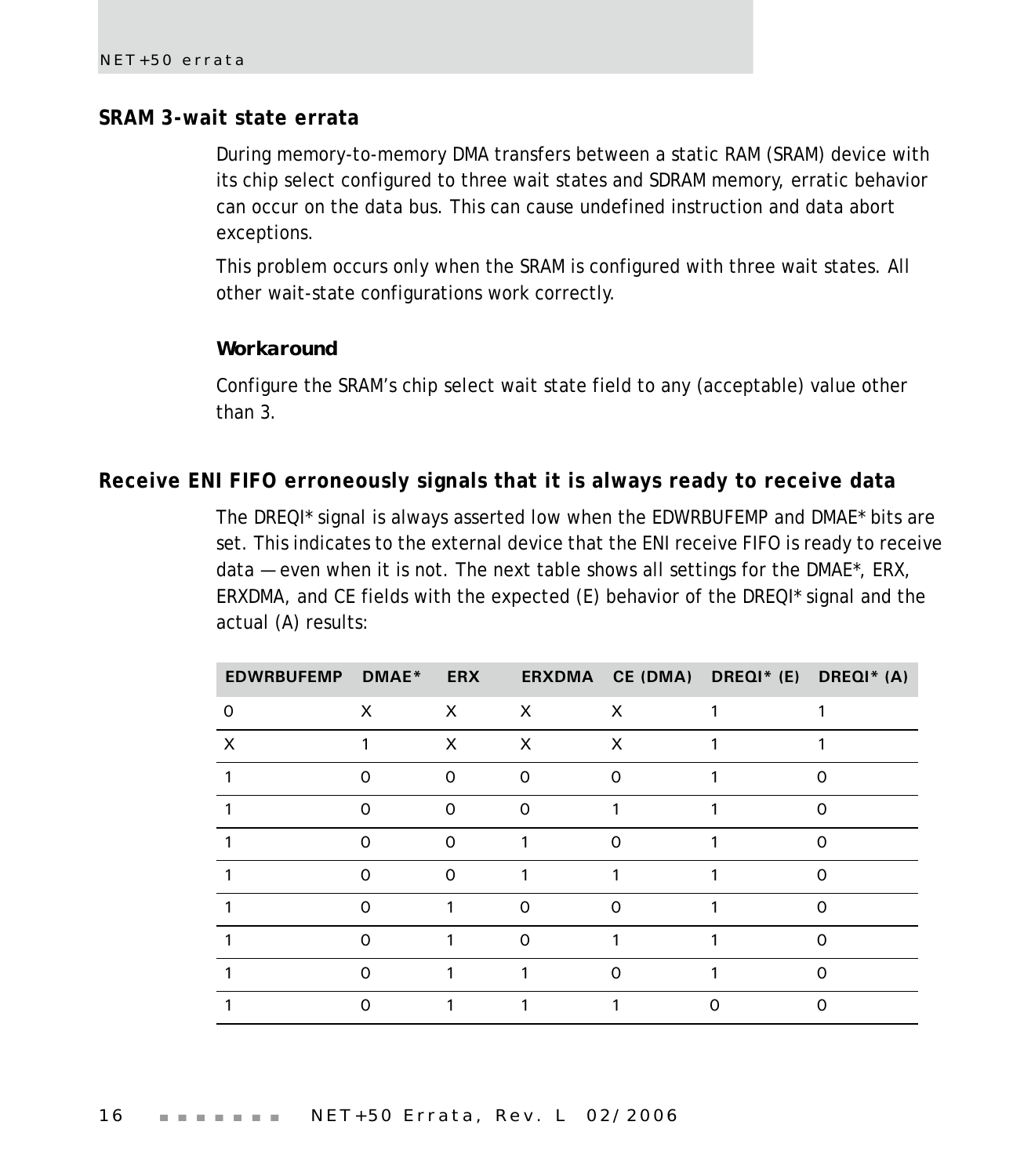# <span id="page-19-0"></span>**SRAM 3-wait state errata**

During memory-to-memory DMA transfers between a static RAM (SRAM) device with its chip select configured to three wait states and SDRAM memory, erratic behavior can occur on the data bus. This can cause undefined instruction and data abort exceptions.

This problem occurs only when the SRAM is configured with three wait states. All other wait-state configurations work correctly.

#### *Workaround*

Configure the SRAM's chip select wait state field to any (acceptable) value other than 3.

# <span id="page-19-1"></span>**Receive ENI FIFO erroneously signals that it is always ready to receive data**

The DREQI\* signal is always asserted low when the EDWRBUFEMP and DMAE\* bits are set. This indicates to the external device that the ENI receive FIFO is ready to receive data — even when it is not. The next table shows all settings for the DMAE\*, ERX, ERXDMA, and CE fields with the expected (E) behavior of the DREQI\* signal and the actual (A) results:

| EDWRBUFEMP DMAE* |          | <b>ERX</b>   |              |          | ERXDMA CE (DMA) DREQI* (E) DREQI* (A) |   |
|------------------|----------|--------------|--------------|----------|---------------------------------------|---|
| 0                | $\times$ | $\mathsf{X}$ | $\mathsf{X}$ | $\times$ |                                       |   |
| $\times$         |          | $\times$     | $\times$     | $\times$ |                                       |   |
|                  | ∩        | $\Omega$     | $\Omega$     | ი        |                                       |   |
|                  | $\Omega$ | 0            | $\Omega$     |          |                                       | ი |
|                  | $\Omega$ | $\Omega$     |              |          |                                       |   |
|                  | ∩        | $\Omega$     |              |          |                                       |   |
|                  | $\Omega$ | 1            | $\Omega$     | ∩        |                                       | ი |
|                  | ∩        |              | $\Omega$     |          |                                       |   |
|                  | ∩        |              |              | Ω        |                                       |   |
|                  | ∩        |              |              |          |                                       |   |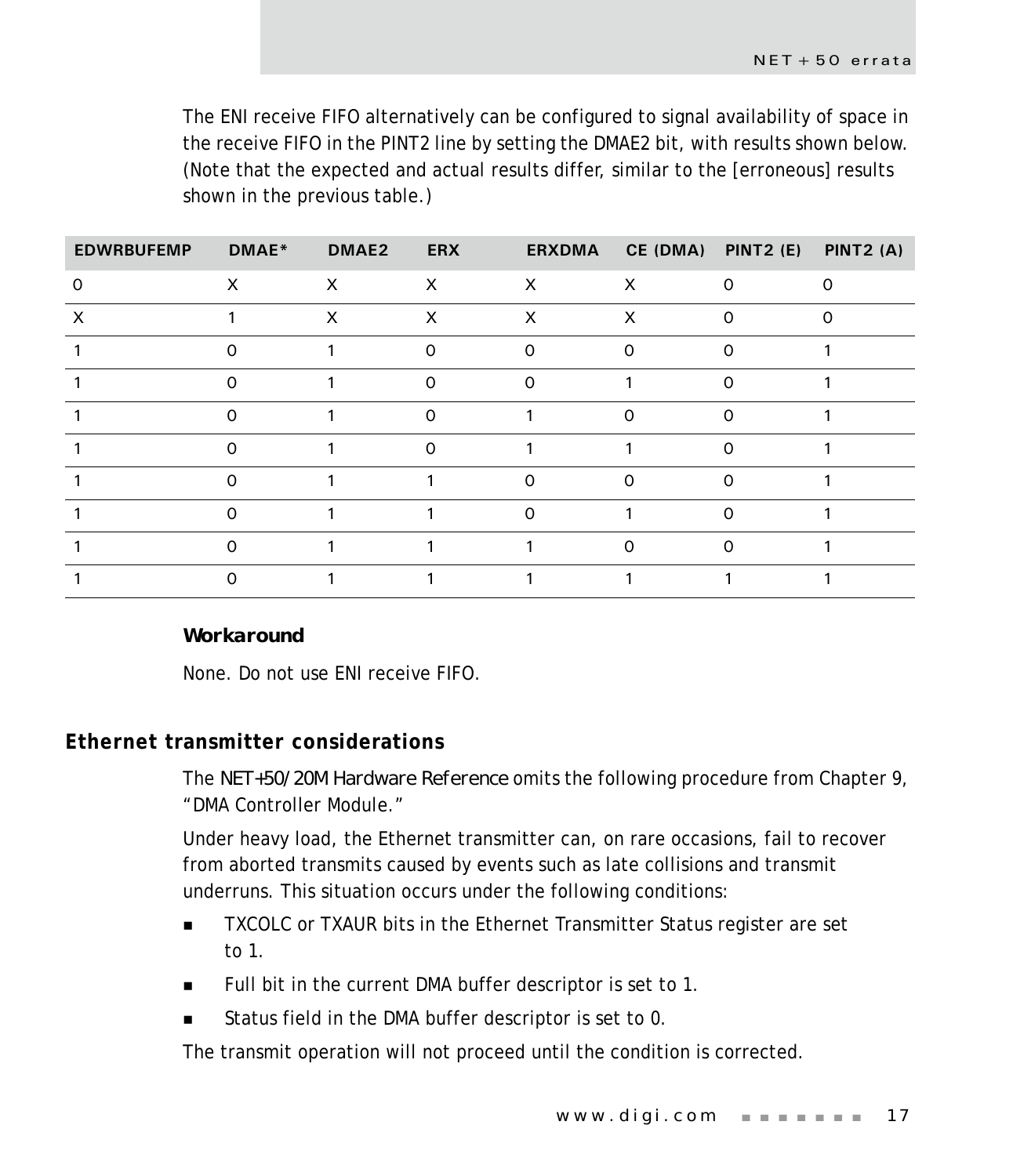The ENI receive FIFO alternatively can be configured to signal availability of space in the receive FIFO in the PINT2 line by setting the DMAE2 bit, with results shown below. (Note that the expected and actual results differ, similar to the [erroneous] results shown in the previous table.)

| <b>EDWRBUFEMP</b> | DMAE*                     | DMAE2        | <b>ERX</b>                |          | ERXDMA CE (DMA) PINT2 (E) |          | PINT2 (A) |
|-------------------|---------------------------|--------------|---------------------------|----------|---------------------------|----------|-----------|
| O                 | $\boldsymbol{\mathsf{x}}$ | $\mathsf{X}$ | $\boldsymbol{\mathsf{X}}$ | $\times$ | $\times$                  | $\Omega$ | $\Omega$  |
| X                 |                           | $\times$     | X                         | $\times$ | X                         | ი        |           |
|                   | $\Omega$                  |              | 0                         | $\Omega$ | $\Omega$                  | 0        |           |
|                   | $\Omega$                  |              | $\Omega$                  | $\Omega$ |                           | 0        |           |
|                   |                           |              |                           |          | ∩                         |          |           |
|                   | $\Omega$                  |              | $\Omega$                  |          |                           | $\Omega$ |           |
|                   | ∩                         |              |                           | $\Omega$ | ∩                         | ∩        |           |
|                   | $\Omega$                  |              |                           | $\Omega$ |                           | Ω        |           |
|                   | ∩                         |              |                           |          | $\Omega$                  | Ω        |           |
|                   |                           |              |                           |          |                           |          |           |

#### *Workaround*

None. Do not use ENI receive FIFO.

# <span id="page-20-0"></span>**Ethernet transmitter considerations**

The *NET+50/20M Hardware Reference* omits the following procedure from Chapter 9, "DMA Controller Module."

Under heavy load, the Ethernet transmitter can, on rare occasions, fail to recover from aborted transmits caused by events such as late collisions and transmit underruns. This situation occurs under the following conditions:

- TXCOLC or TXAUR bits in the Ethernet Transmitter Status register are set to 1.
- Full bit in the current DMA buffer descriptor is set to 1.
- Status field in the DMA buffer descriptor is set to 0.

The transmit operation will not proceed until the condition is corrected.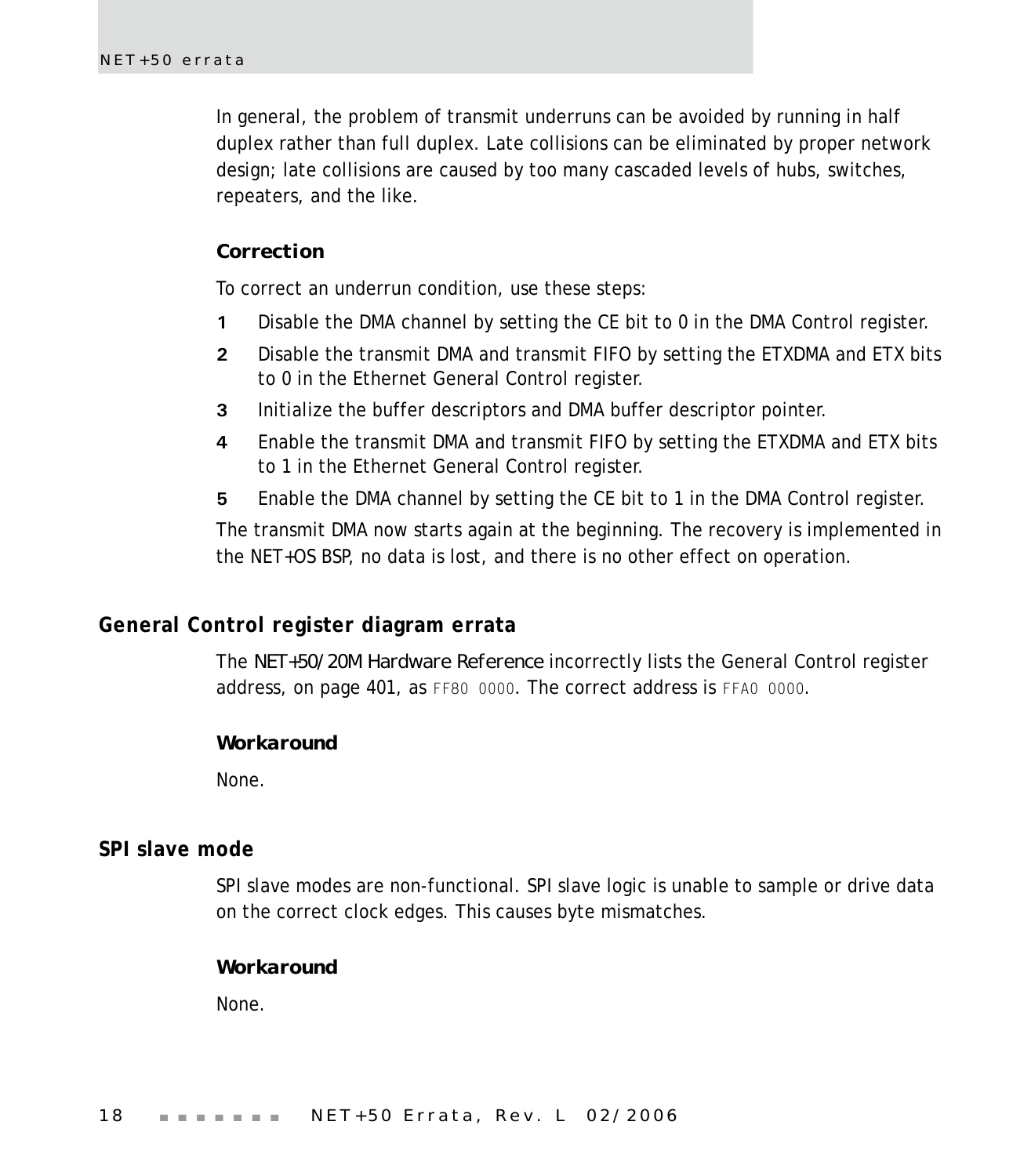In general, the problem of transmit underruns can be avoided by running in half duplex rather than full duplex. Late collisions can be eliminated by proper network design; late collisions are caused by too many cascaded levels of hubs, switches, repeaters, and the like.

#### *Correction*

To correct an underrun condition, use these steps:

- **1** Disable the DMA channel by setting the CE bit to 0 in the DMA Control register.
- **2** Disable the transmit DMA and transmit FIFO by setting the ETXDMA and ETX bits to 0 in the Ethernet General Control register.
- **3** Initialize the buffer descriptors and DMA buffer descriptor pointer.
- **4** Enable the transmit DMA and transmit FIFO by setting the ETXDMA and ETX bits to 1 in the Ethernet General Control register.
- **5** Enable the DMA channel by setting the CE bit to 1 in the DMA Control register.

The transmit DMA now starts again at the beginning. The recovery is implemented in the NET+OS BSP, no data is lost, and there is no other effect on operation.

#### <span id="page-21-0"></span>**General Control register diagram errata**

The *NET+50/20M Hardware Reference* incorrectly lists the General Control register address, on page 401, as FF80 0000. The correct address is FFA0 0000.

#### *Workaround*

None.

# <span id="page-21-1"></span>**SPI slave mode**

SPI slave modes are non-functional. SPI slave logic is unable to sample or drive data on the correct clock edges. This causes byte mismatches.

#### *Workaround*

None.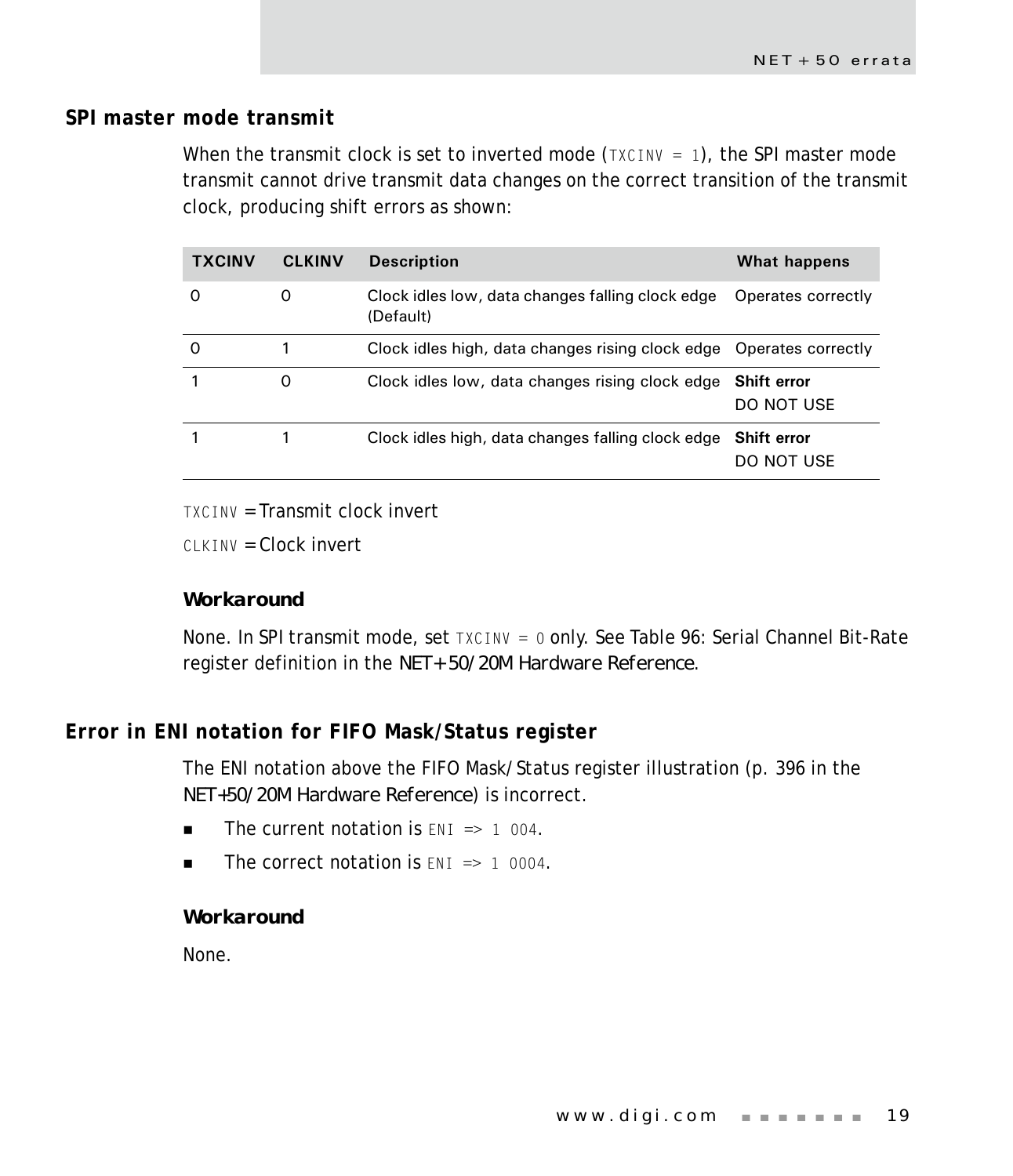# <span id="page-22-0"></span>**SPI master mode transmit**

When the transmit clock is set to inverted mode  $(TXCINV = 1)$ , the SPI master mode transmit cannot drive transmit data changes on the correct transition of the transmit clock, producing shift errors as shown:

| <b>TXCINV</b> | <b>CLKINV</b> | <b>Description</b>                                                  | What happens                     |
|---------------|---------------|---------------------------------------------------------------------|----------------------------------|
| Ω             | 0             | Clock idles low, data changes falling clock edge<br>(Default)       | Operates correctly               |
| 0             |               | Clock idles high, data changes rising clock edge Operates correctly |                                  |
|               | 0             | Clock idles low, data changes rising clock edge                     | <b>Shift error</b><br>DO NOT USE |
|               |               | Clock idles high, data changes falling clock edge                   | <b>Shift error</b><br>DO NOT USE |

TXCINV = Transmit clock invert

 $C$ LKINV =  $C$ lock invert

## *Workaround*

None. In SPI transmit mode, set TXCINV = 0 only. See Table 96: Serial Channel Bit-Rate register definition in the *NET+ 50/20M Hardware Reference*.

# <span id="page-22-1"></span>**Error in ENI notation for FIFO Mask/Status register**

The ENI notation above the FIFO Mask/Status register illustration (p. 396 in the *NET+50/20M Hardware Reference*) is incorrect.

- $\blacksquare$  The current notation is  $ENI \Rightarrow 1004$ .
- $\blacksquare$  The correct notation is  $FNI \Rightarrow 1,0004$ .

#### *Workaround*

None.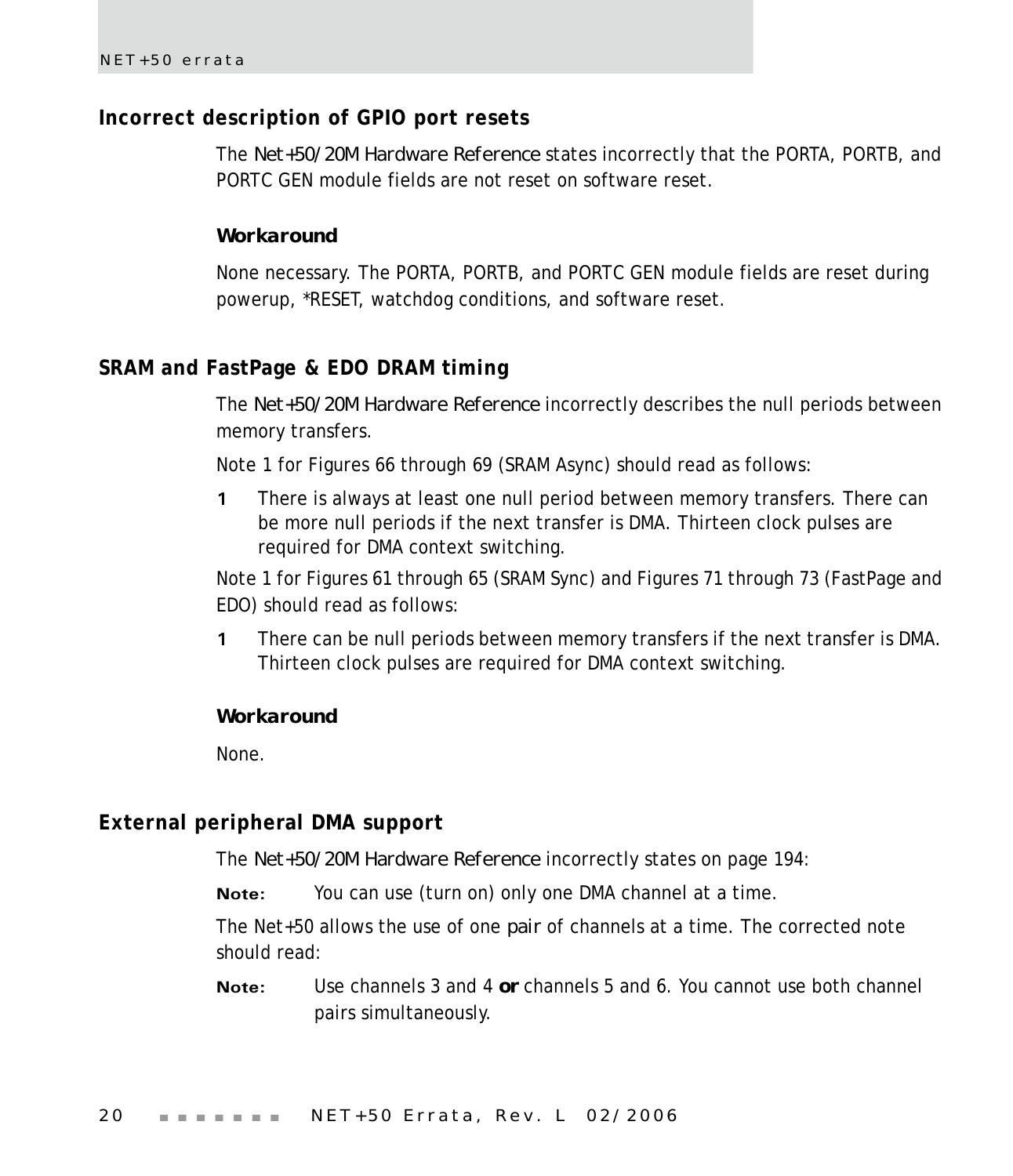# <span id="page-23-0"></span>**Incorrect description of GPIO port resets**

The *Net+50/20M Hardware Reference* states incorrectly that the PORTA, PORTB, and PORTC GEN module fields are not reset on software reset.

#### *Workaround*

None necessary. The PORTA, PORTB, and PORTC GEN module fields are reset during powerup, \*RESET, watchdog conditions, and software reset.

# <span id="page-23-1"></span>**SRAM and FastPage & EDO DRAM timing**

The *Net+50/20M Hardware Reference* incorrectly describes the null periods between memory transfers.

Note 1 for Figures 66 through 69 (SRAM Async) should read as follows:

**1** There is always at least one null period between memory transfers. There can be more null periods if the next transfer is DMA. Thirteen clock pulses are required for DMA context switching.

Note 1 for Figures 61 through 65 (SRAM Sync) and Figures 71 through 73 (FastPage and EDO) should read as follows:

**1** There can be null periods between memory transfers if the next transfer is DMA. Thirteen clock pulses are required for DMA context switching.

#### *Workaround*

None.

# <span id="page-23-2"></span>**External peripheral DMA support**

The *Net+50/20M Hardware Reference* incorrectly states on page 194:

**Note:** You can use (turn on) only one DMA channel at a time.

The Net+50 allows the use of one *pair* of channels at a time. The corrected note should read:

**Note:** Use channels 3 and 4 *or* channels 5 and 6. You cannot use both channel pairs simultaneously.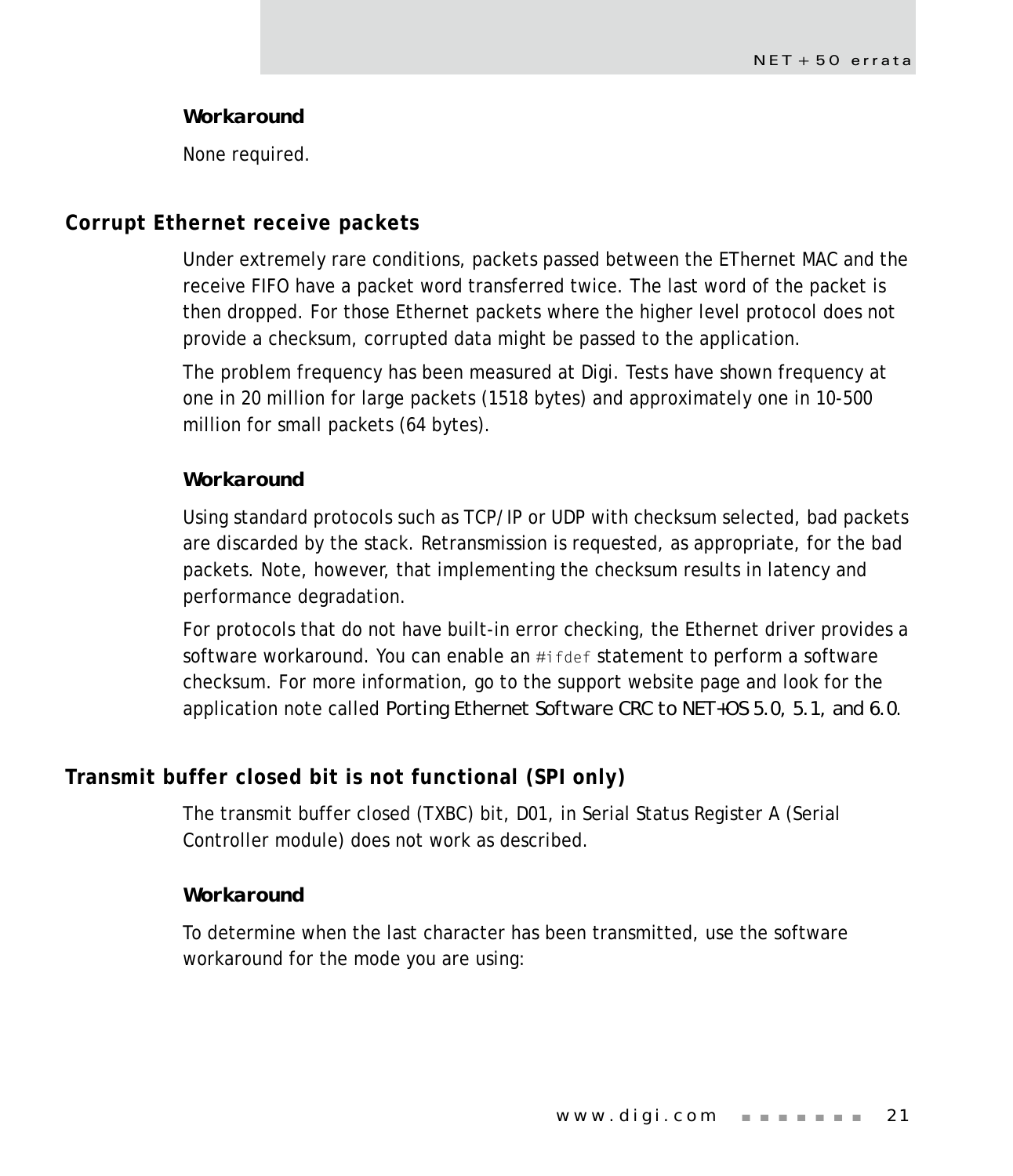#### *Workaround*

None required.

## <span id="page-24-0"></span>**Corrupt Ethernet receive packets**

Under extremely rare conditions, packets passed between the EThernet MAC and the receive FIFO have a packet word transferred twice. The last word of the packet is then dropped. For those Ethernet packets where the higher level protocol does not provide a checksum, corrupted data might be passed to the application.

The problem frequency has been measured at Digi. Tests have shown frequency at one in 20 million for large packets (1518 bytes) and approximately one in 10-500 million for small packets (64 bytes).

#### *Workaround*

Using standard protocols such as TCP/IP or UDP with checksum selected, bad packets are discarded by the stack. Retransmission is requested, as appropriate, for the bad packets. Note, however, that implementing the checksum results in latency and performance degradation.

For protocols that do not have built-in error checking, the Ethernet driver provides a software workaround. You can enable an #ifdef statement to perform a software checksum. For more information, go to the support website page and look for the application note called *Porting Ethernet Software CRC to NET+OS 5.0, 5.1, and 6.0*.

# <span id="page-24-1"></span>**Transmit buffer closed bit is not functional (SPI only)**

The transmit buffer closed (TXBC) bit, D01, in Serial Status Register A (Serial Controller module) does not work as described.

#### *Workaround*

To determine when the last character has been transmitted, use the software workaround for the mode you are using: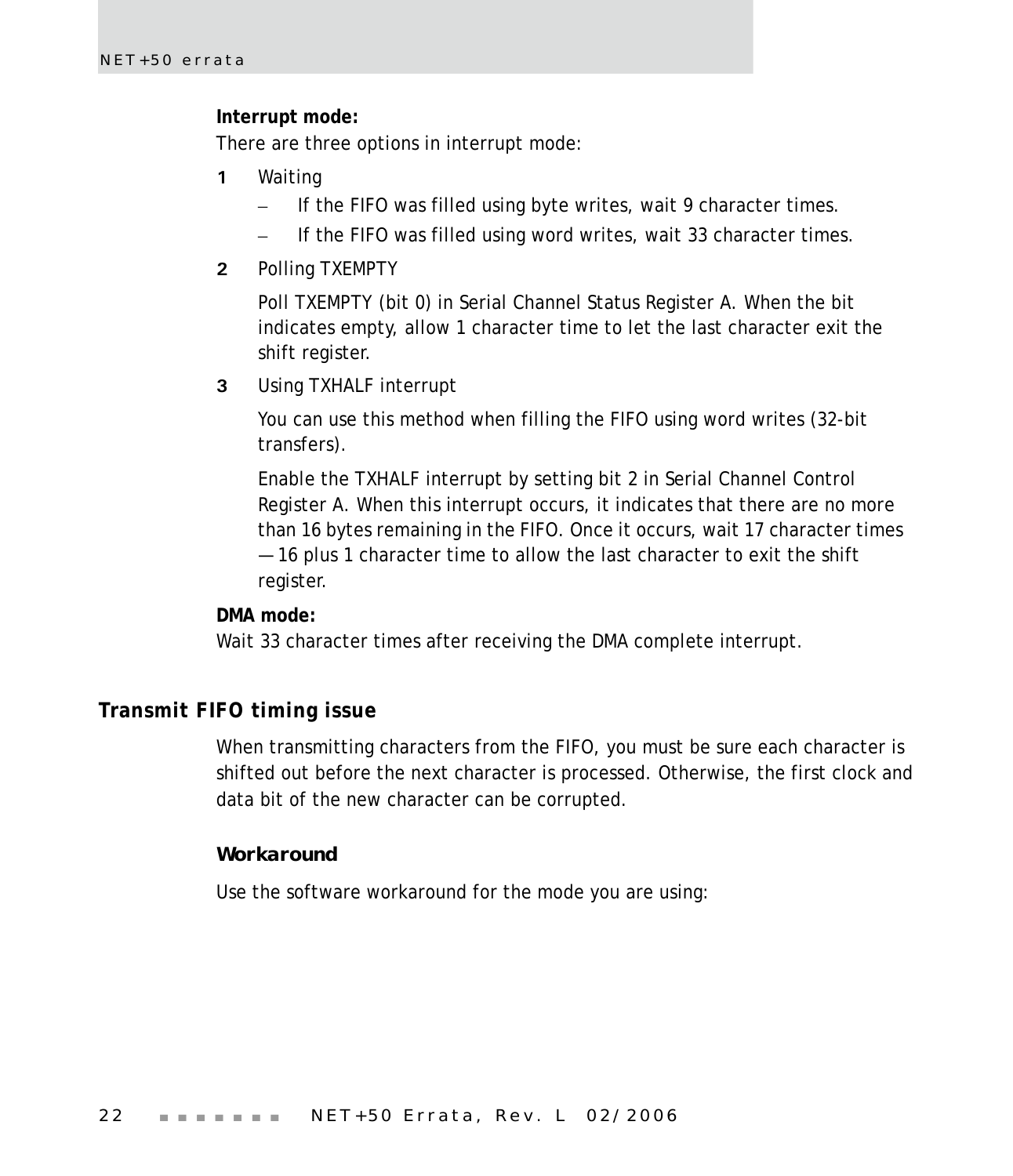#### **Interrupt mode:**

There are three options in interrupt mode:

- **1** Waiting
	- If the FIFO was filled using byte writes, wait 9 character times.
	- If the FIFO was filled using word writes, wait 33 character times.
- **2** Polling TXEMPTY

Poll TXEMPTY (bit 0) in Serial Channel Status Register A. When the bit indicates empty, allow 1 character time to let the last character exit the shift register.

**3** Using TXHALF interrupt

You can use this method when filling the FIFO using word writes (32-bit transfers).

Enable the TXHALF interrupt by setting bit 2 in Serial Channel Control Register A. When this interrupt occurs, it indicates that there are no more than 16 bytes remaining in the FIFO. Once it occurs, wait 17 character times — 16 plus 1 character time to allow the last character to exit the shift register.

#### **DMA mode:**

Wait 33 character times after receiving the DMA complete interrupt.

## <span id="page-25-0"></span>**Transmit FIFO timing issue**

When transmitting characters from the FIFO, you must be sure each character is shifted out before the next character is processed. Otherwise, the first clock and data bit of the new character can be corrupted.

#### *Workaround*

Use the software workaround for the mode you are using: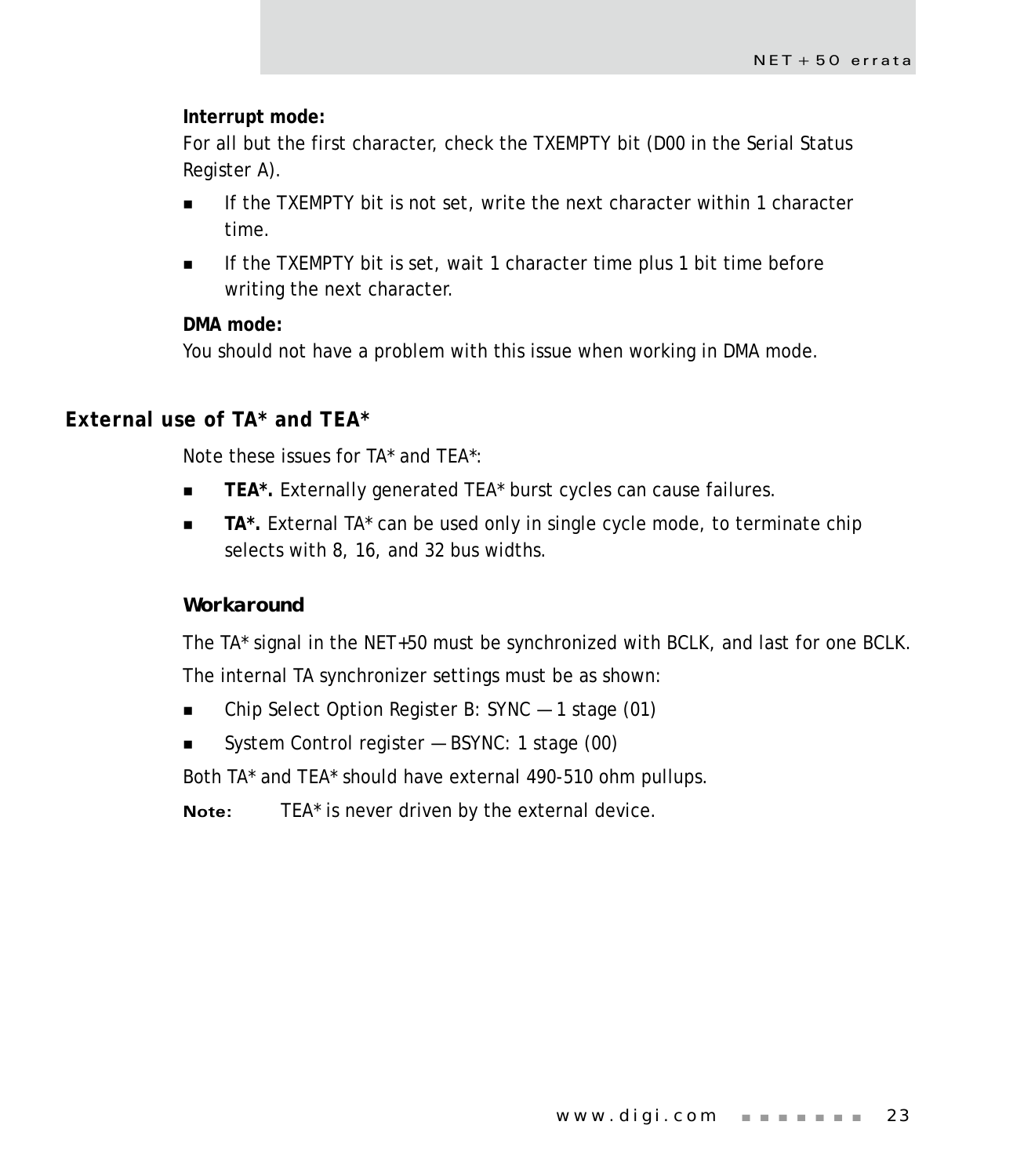#### **Interrupt mode:**

For all but the first character, check the TXEMPTY bit (D00 in the Serial Status Register A).

- If the TXEMPTY bit is not set, write the next character within 1 character time.
- If the TXEMPTY bit is set, wait 1 character time plus 1 bit time before writing the next character.

#### **DMA mode:**

You should not have a problem with this issue when working in DMA mode.

# <span id="page-26-0"></span>**External use of TA\* and TEA\***

Note these issues for TA\* and TEA\*:

- **TEA\*.** Externally generated TEA\* burst cycles can cause failures.
- **TA\*.** External TA\* can be used only in single cycle mode, to terminate chip selects with 8, 16, and 32 bus widths.

#### *Workaround*

The TA\* signal in the NET+50 must be synchronized with BCLK, and last for one BCLK.

The internal TA synchronizer settings must be as shown:

- Chip Select Option Register B: SYNC 1 stage (01)
- System Control register BSYNC: 1 stage (00)

Both TA\* and TEA\* should have external 490-510 ohm pullups.

**Note:** TEA\* is never driven by the external device.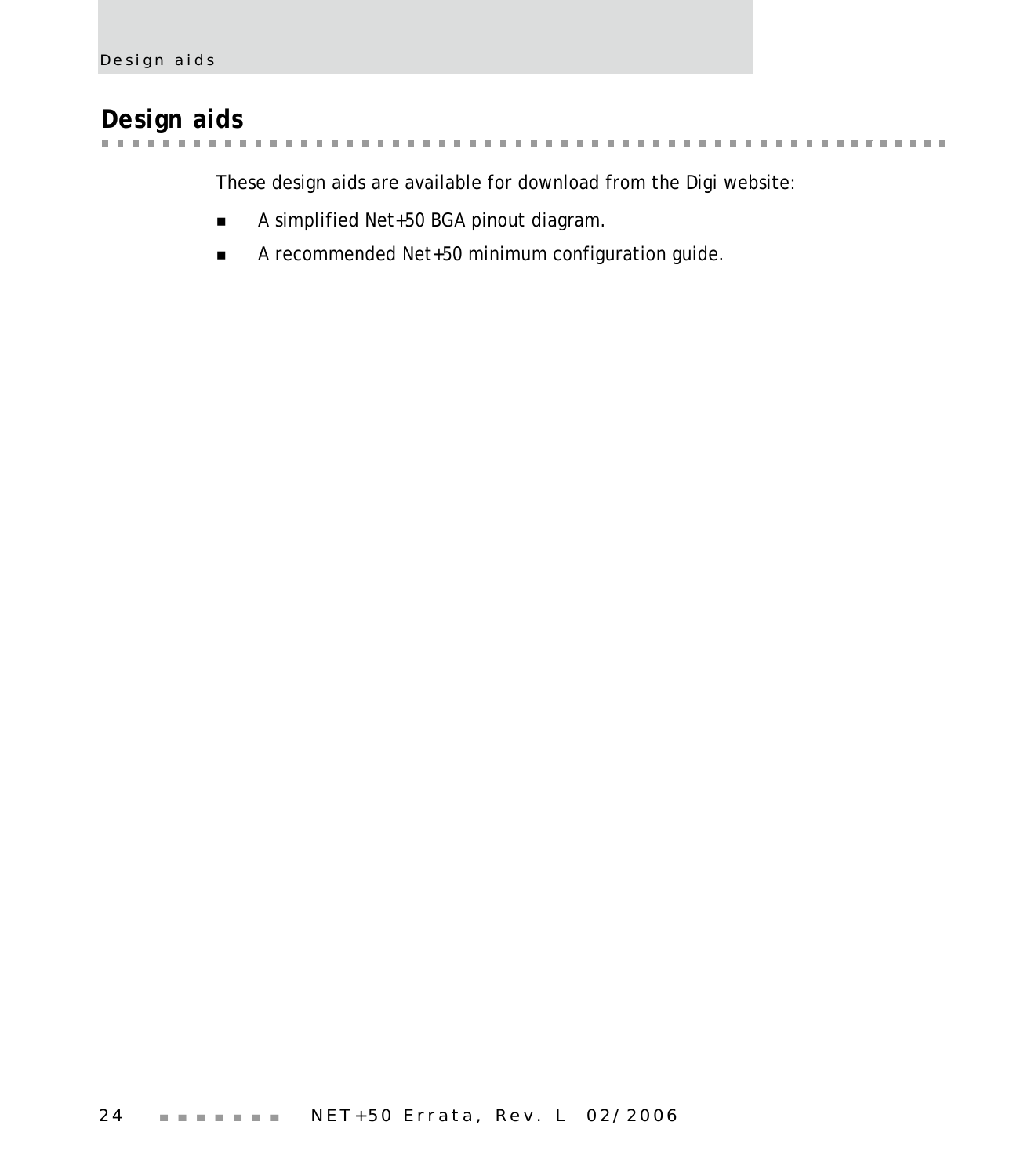# <span id="page-27-0"></span>**Design aids**

a se a súa ar **CONTRACTOR** . . . . . . . . . . . . . a a  $\mathbf{m}$  $\label{eq:3.1} \mathbf{H} = \mathbf{H} + \mathbf{H} + \mathbf{H} + \mathbf{H} + \mathbf{H} + \mathbf{H}$  $\sim 10$  $\mathbf{H}$  ,  $\mathbf{H}$  ,  $\mathbf{H}$ ×  $\mathbb{R}^n$ 

These design aids are available for download from the Digi website:

- A simplified Net+50 BGA pinout diagram.
- A recommended Net+50 minimum configuration guide.